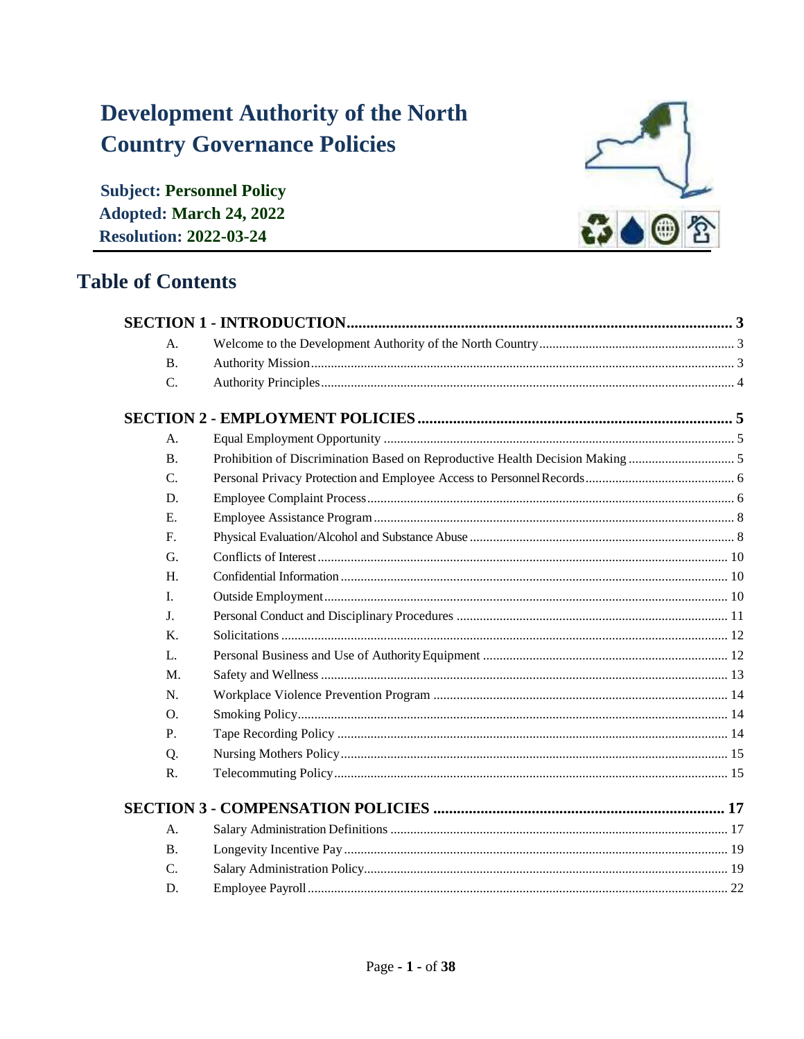# **Development Authority of the North Country Governance Policies**

**Subject: Personnel Policy Adopted: March 24, 2022 Resolution: 2022-03-24** 

## **Table of Contents**



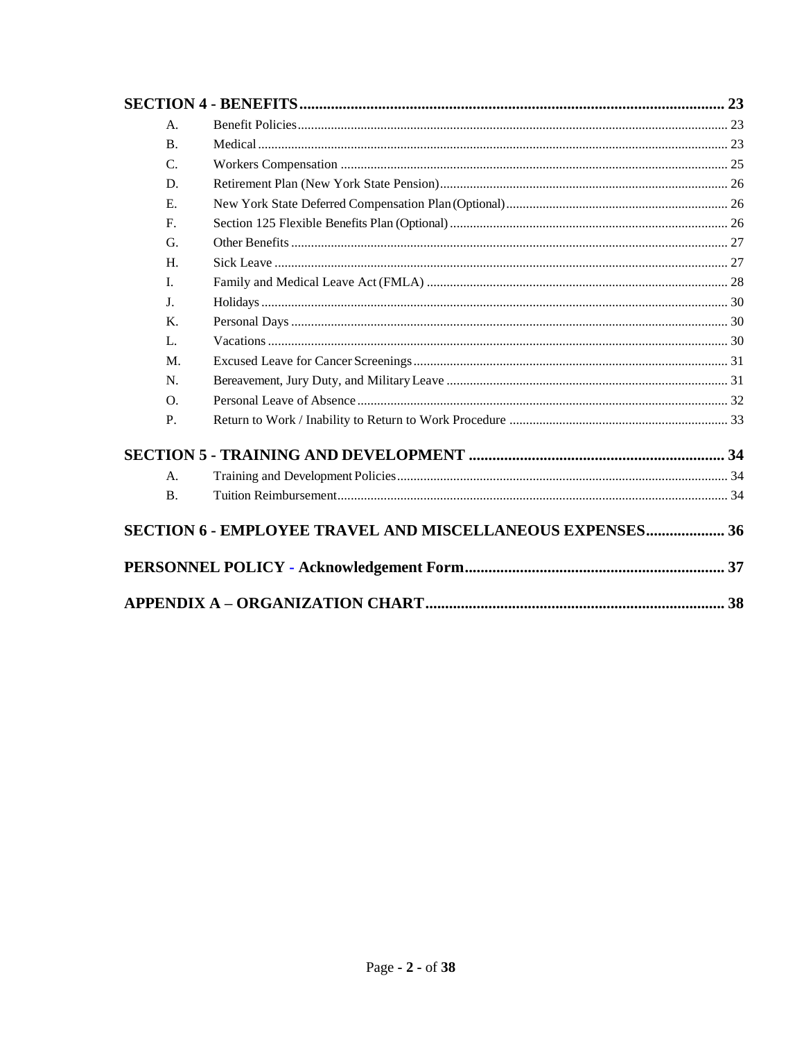| A.             |                                                                  |  |
|----------------|------------------------------------------------------------------|--|
| <b>B.</b>      |                                                                  |  |
| $\mathcal{C}$  |                                                                  |  |
| D.             |                                                                  |  |
| E.             |                                                                  |  |
| $F_{\cdot}$    |                                                                  |  |
| G.             |                                                                  |  |
| H.             |                                                                  |  |
| $\mathbf{I}$ . |                                                                  |  |
| J <sub>r</sub> |                                                                  |  |
| K.             |                                                                  |  |
| L.             |                                                                  |  |
| M.             |                                                                  |  |
| N.             |                                                                  |  |
| $\Omega$ .     |                                                                  |  |
| $P_{\cdot}$    |                                                                  |  |
|                |                                                                  |  |
| A <sub>1</sub> |                                                                  |  |
| <b>B.</b>      |                                                                  |  |
|                | <b>SECTION 6 - EMPLOYEE TRAVEL AND MISCELLANEOUS EXPENSES 36</b> |  |
|                |                                                                  |  |
|                |                                                                  |  |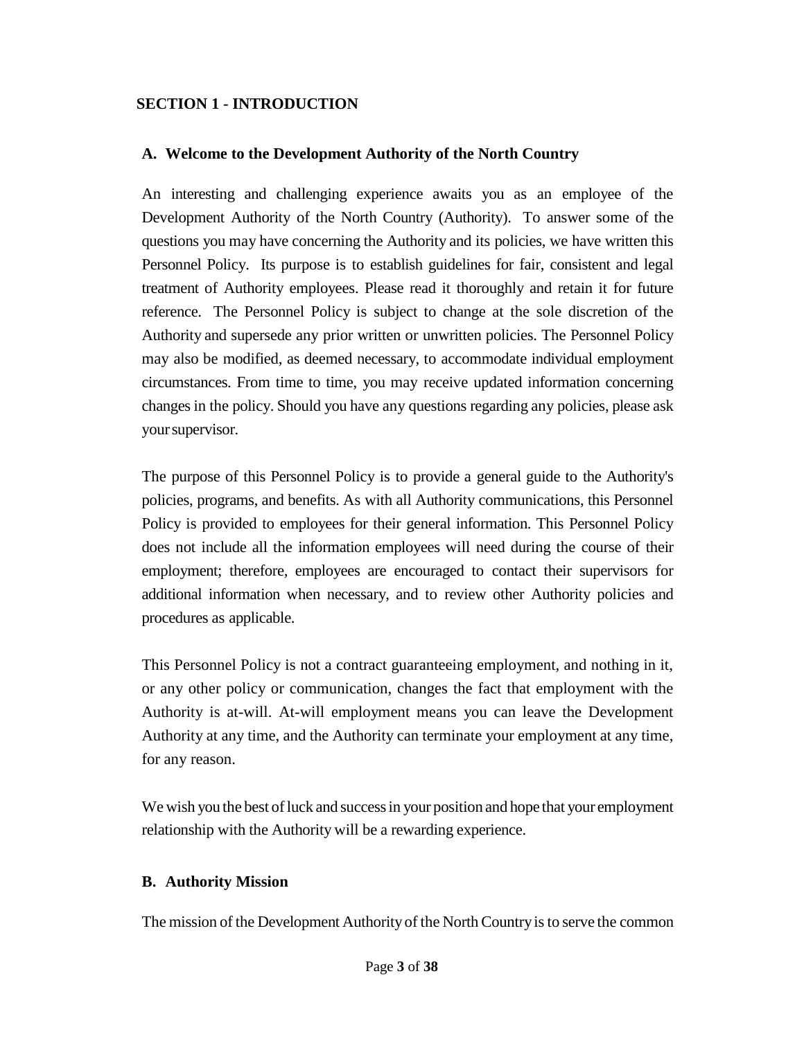#### <span id="page-2-0"></span>**SECTION 1 - INTRODUCTION**

#### <span id="page-2-1"></span>**A. Welcome to the Development Authority of the North Country**

An interesting and challenging experience awaits you as an employee of the Development Authority of the North Country (Authority). To answer some of the questions you may have concerning the Authority and its policies, we have written this Personnel Policy. Its purpose is to establish guidelines for fair, consistent and legal treatment of Authority employees. Please read it thoroughly and retain it for future reference. The Personnel Policy is subject to change at the sole discretion of the Authority and supersede any prior written or unwritten policies. The Personnel Policy may also be modified, as deemed necessary, to accommodate individual employment circumstances. From time to time, you may receive updated information concerning changes in the policy. Should you have any questions regarding any policies, please ask yoursupervisor.

The purpose of this Personnel Policy is to provide a general guide to the Authority's policies, programs, and benefits. As with all Authority communications, this Personnel Policy is provided to employees for their general information. This Personnel Policy does not include all the information employees will need during the course of their employment; therefore, employees are encouraged to contact their supervisors for additional information when necessary, and to review other Authority policies and procedures as applicable.

This Personnel Policy is not a contract guaranteeing employment, and nothing in it, or any other policy or communication, changes the fact that employment with the Authority is at-will. At-will employment means you can leave the Development Authority at any time, and the Authority can terminate your employment at any time, for any reason.

We wish you the best of luck and success in your position and hope that your employment relationship with the Authority will be a rewarding experience.

#### <span id="page-2-2"></span>**B. Authority Mission**

The mission of the Development Authority of the North Countryisto serve the common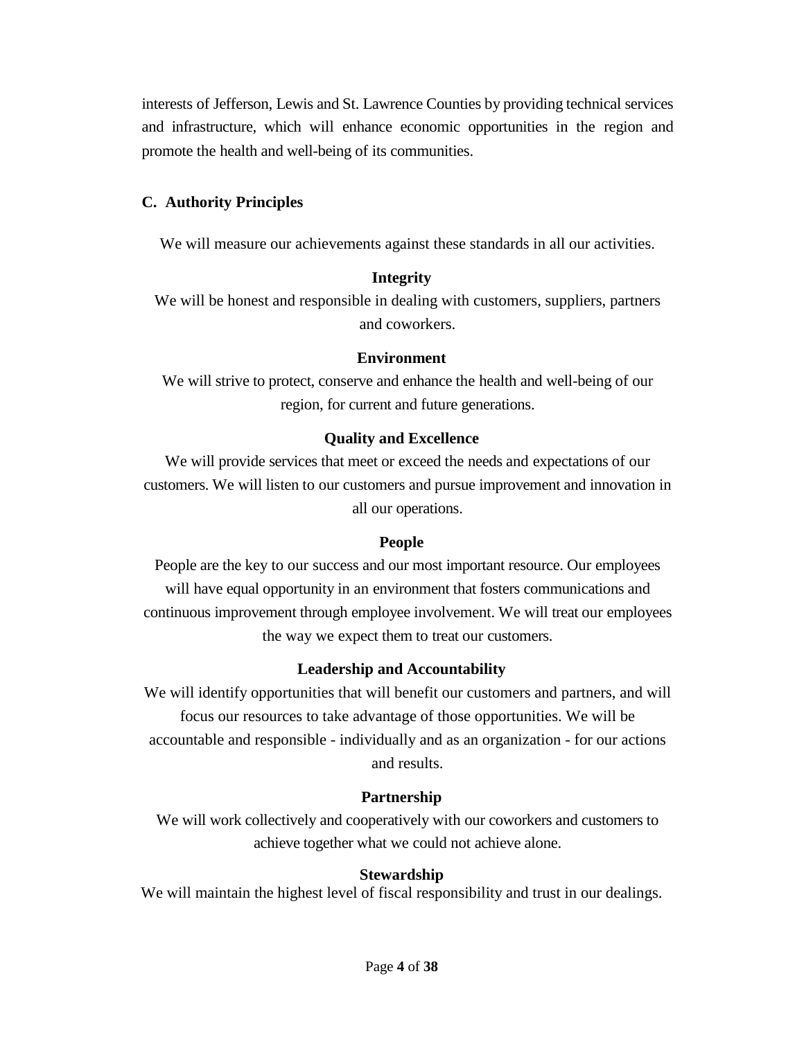interests of Jefferson, Lewis and St. Lawrence Counties by providing technical services and infrastructure, which will enhance economic opportunities in the region and promote the health and well-being of its communities.

#### <span id="page-3-0"></span>**C. Authority Principles**

We will measure our achievements against these standards in all our activities.

#### **Integrity**

We will be honest and responsible in dealing with customers, suppliers, partners and coworkers.

#### **Environment**

We will strive to protect, conserve and enhance the health and well-being of our region, for current and future generations.

#### **Quality and Excellence**

We will provide services that meet or exceed the needs and expectations of our customers. We will listen to our customers and pursue improvement and innovation in all our operations.

#### **People**

People are the key to our success and our most important resource. Our employees will have equal opportunity in an environment that fosters communications and continuous improvement through employee involvement. We will treat our employees the way we expect them to treat our customers.

#### **Leadership and Accountability**

We will identify opportunities that will benefit our customers and partners, and will focus our resources to take advantage of those opportunities. We will be accountable and responsible - individually and as an organization - for our actions and results.

#### **Partnership**

We will work collectively and cooperatively with our coworkers and customers to achieve together what we could not achieve alone.

#### **Stewardship**

We will maintain the highest level of fiscal responsibility and trust in our dealings.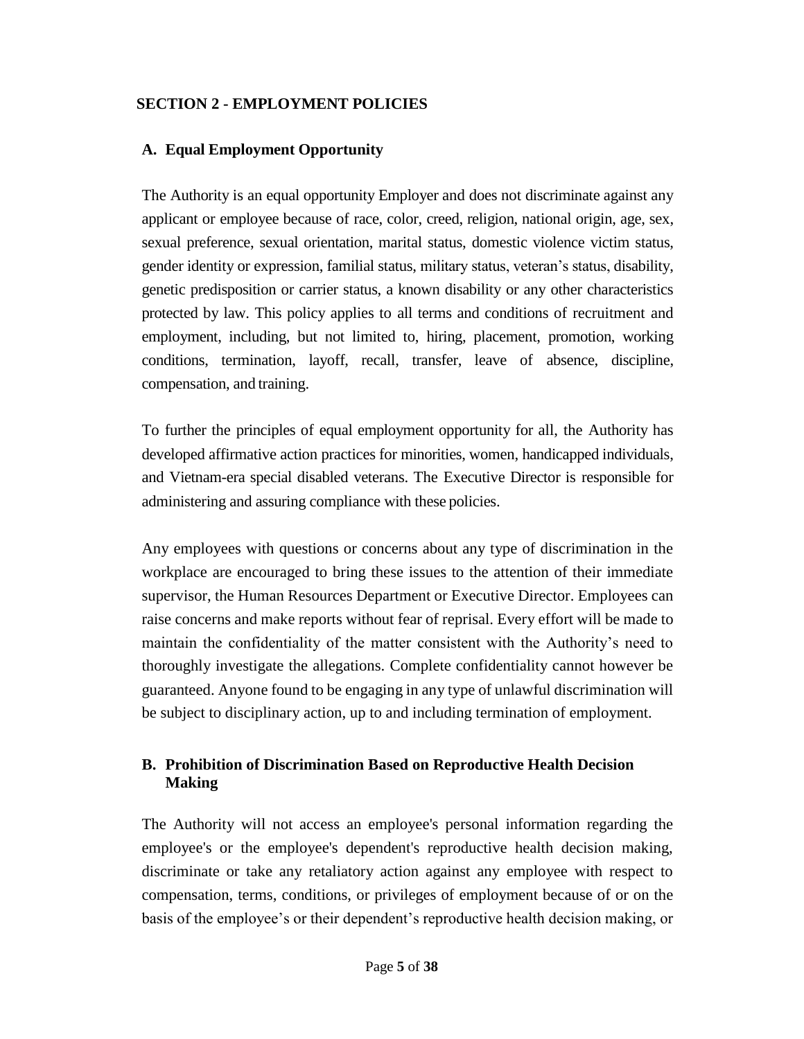#### <span id="page-4-0"></span>**SECTION 2 - EMPLOYMENT POLICIES**

#### <span id="page-4-1"></span>**A. Equal Employment Opportunity**

The Authority is an equal opportunity Employer and does not discriminate against any applicant or employee because of race, color, creed, religion, national origin, age, sex, sexual preference, sexual orientation, marital status, domestic violence victim status, gender identity or expression, familial status, military status, veteran's status, disability, genetic predisposition or carrier status, a known disability or any other characteristics protected by law. This policy applies to all terms and conditions of recruitment and employment, including, but not limited to, hiring, placement, promotion, working conditions, termination, layoff, recall, transfer, leave of absence, discipline, compensation, and training.

To further the principles of equal employment opportunity for all, the Authority has developed affirmative action practices for minorities, women, handicapped individuals, and Vietnam-era special disabled veterans. The Executive Director is responsible for administering and assuring compliance with these policies.

Any employees with questions or concerns about any type of discrimination in the workplace are encouraged to bring these issues to the attention of their immediate supervisor, the Human Resources Department or Executive Director. Employees can raise concerns and make reports without fear of reprisal. Every effort will be made to maintain the confidentiality of the matter consistent with the Authority's need to thoroughly investigate the allegations. Complete confidentiality cannot however be guaranteed. Anyone found to be engaging in any type of unlawful discrimination will be subject to disciplinary action, up to and including termination of employment.

## <span id="page-4-2"></span>**B. Prohibition of Discrimination Based on Reproductive Health Decision Making**

The Authority will not access an employee's personal information regarding the employee's or the employee's dependent's reproductive health decision making, discriminate or take any retaliatory action against any employee with respect to compensation, terms, conditions, or privileges of employment because of or on the basis of the employee's or their dependent's reproductive health decision making, or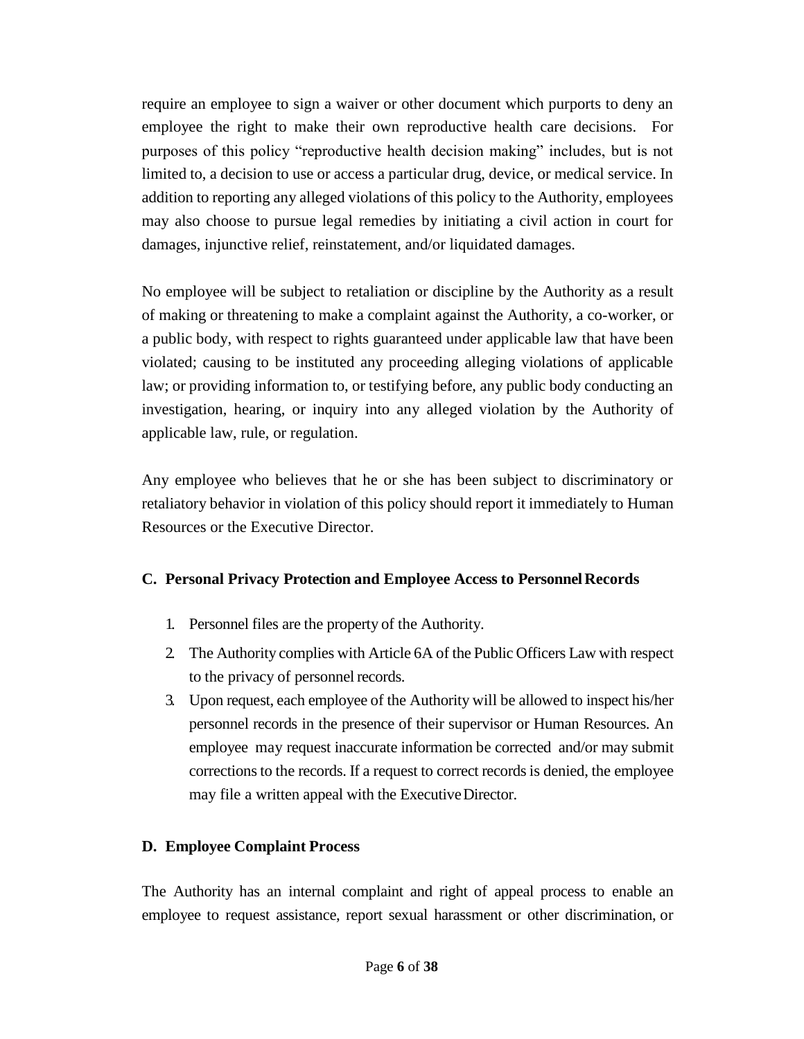require an employee to sign a waiver or other document which purports to deny an employee the right to make their own reproductive health care decisions. For purposes of this policy "reproductive health decision making" includes, but is not limited to, a decision to use or access a particular drug, device, or medical service. In addition to reporting any alleged violations of this policy to the Authority, employees may also choose to pursue legal remedies by initiating a civil action in court for damages, injunctive relief, reinstatement, and/or liquidated damages.

No employee will be subject to retaliation or discipline by the Authority as a result of making or threatening to make a complaint against the Authority, a co-worker, or a public body, with respect to rights guaranteed under applicable law that have been violated; causing to be instituted any proceeding alleging violations of applicable law; or providing information to, or testifying before, any public body conducting an investigation, hearing, or inquiry into any alleged violation by the Authority of applicable law, rule, or regulation.

Any employee who believes that he or she has been subject to discriminatory or retaliatory behavior in violation of this policy should report it immediately to Human Resources or the Executive Director.

## <span id="page-5-0"></span>**C. Personal Privacy Protection and Employee Access to PersonnelRecords**

- 1. Personnel files are the property of the Authority.
- 2. The Authority complies with Article 6A of the Public Officers Law with respect to the privacy of personnel records.
- 3. Upon request, each employee of the Authority will be allowed to inspect his/her personnel records in the presence of their supervisor or Human Resources. An employee may request inaccurate information be corrected and/or may submit corrections to the records. If a request to correct records is denied, the employee may file a written appeal with the ExecutiveDirector.

## <span id="page-5-1"></span>**D. Employee Complaint Process**

The Authority has an internal complaint and right of appeal process to enable an employee to request assistance, report sexual harassment or other discrimination, or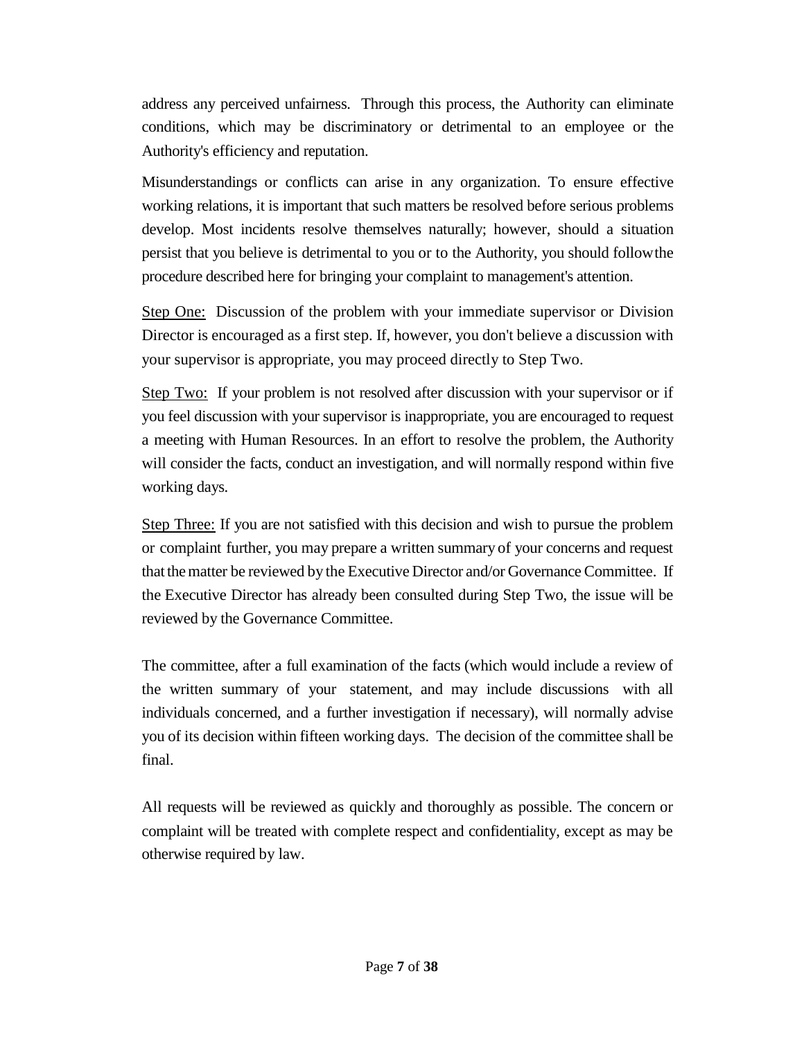address any perceived unfairness. Through this process, the Authority can eliminate conditions, which may be discriminatory or detrimental to an employee or the Authority's efficiency and reputation.

Misunderstandings or conflicts can arise in any organization. To ensure effective working relations, it is important that such matters be resolved before serious problems develop. Most incidents resolve themselves naturally; however, should a situation persist that you believe is detrimental to you or to the Authority, you should followthe procedure described here for bringing your complaint to management's attention.

Step One: Discussion of the problem with your immediate supervisor or Division Director is encouraged as a first step. If, however, you don't believe a discussion with your supervisor is appropriate, you may proceed directly to Step Two.

Step Two: If your problem is not resolved after discussion with your supervisor or if you feel discussion with your supervisor is inappropriate, you are encouraged to request a meeting with Human Resources. In an effort to resolve the problem, the Authority will consider the facts, conduct an investigation, and will normally respond within five working days.

Step Three: If you are not satisfied with this decision and wish to pursue the problem or complaint further, you may prepare a written summary of your concerns and request that the matter be reviewed by the Executive Director and/or Governance Committee. If the Executive Director has already been consulted during Step Two, the issue will be reviewed by the Governance Committee.

The committee, after a full examination of the facts (which would include a review of the written summary of your statement, and may include discussions with all individuals concerned, and a further investigation if necessary), will normally advise you of its decision within fifteen working days. The decision of the committee shall be final.

All requests will be reviewed as quickly and thoroughly as possible. The concern or complaint will be treated with complete respect and confidentiality, except as may be otherwise required by law.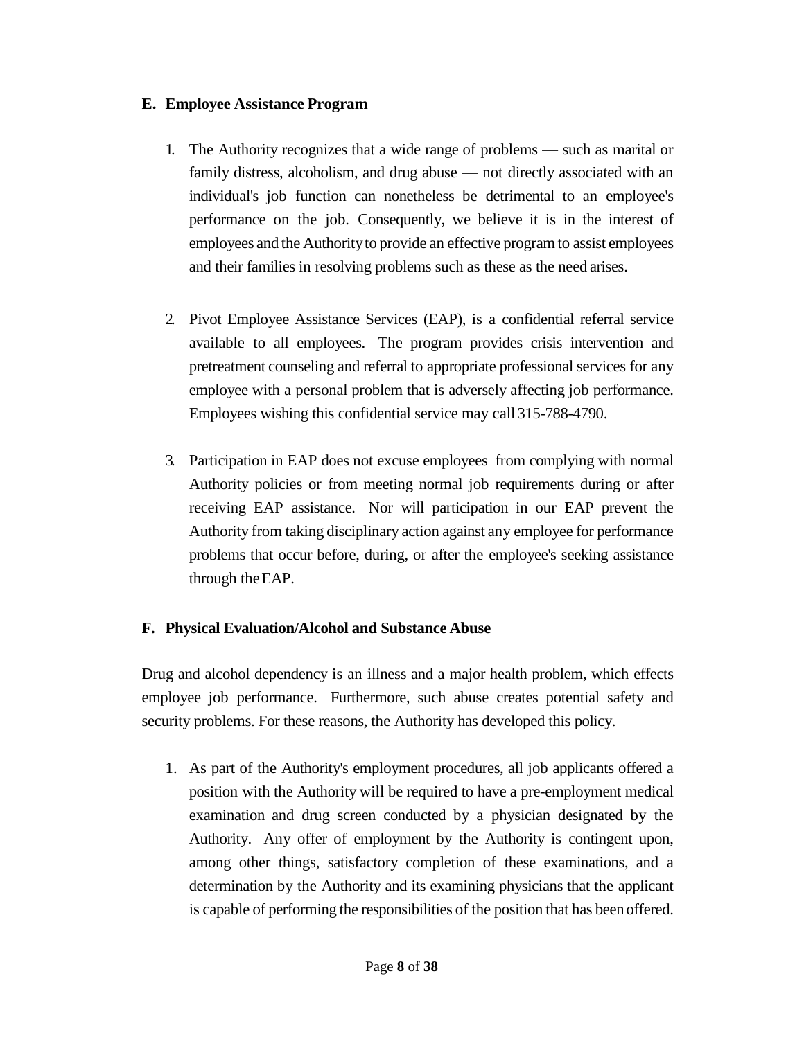#### <span id="page-7-0"></span>**E. Employee Assistance Program**

- 1. The Authority recognizes that a wide range of problems such as marital or family distress, alcoholism, and drug abuse — not directly associated with an individual's job function can nonetheless be detrimental to an employee's performance on the job. Consequently, we believe it is in the interest of employees and the Authorityto provide an effective program to assist employees and their families in resolving problems such as these as the need arises.
- 2. Pivot Employee Assistance Services (EAP), is a confidential referral service available to all employees. The program provides crisis intervention and pretreatment counseling and referral to appropriate professional services for any employee with a personal problem that is adversely affecting job performance. Employees wishing this confidential service may call 315-788-4790.
- 3. Participation in EAP does not excuse employees from complying with normal Authority policies or from meeting normal job requirements during or after receiving EAP assistance. Nor will participation in our EAP prevent the Authority from taking disciplinary action against any employee for performance problems that occur before, during, or after the employee's seeking assistance through theEAP.

## <span id="page-7-1"></span>**F. Physical Evaluation/Alcohol and Substance Abuse**

Drug and alcohol dependency is an illness and a major health problem, which effects employee job performance. Furthermore, such abuse creates potential safety and security problems. For these reasons, the Authority has developed this policy.

1. As part of the Authority's employment procedures, all job applicants offered a position with the Authority will be required to have a pre-employment medical examination and drug screen conducted by a physician designated by the Authority. Any offer of employment by the Authority is contingent upon, among other things, satisfactory completion of these examinations, and a determination by the Authority and its examining physicians that the applicant is capable of performing the responsibilities of the position that has beenoffered.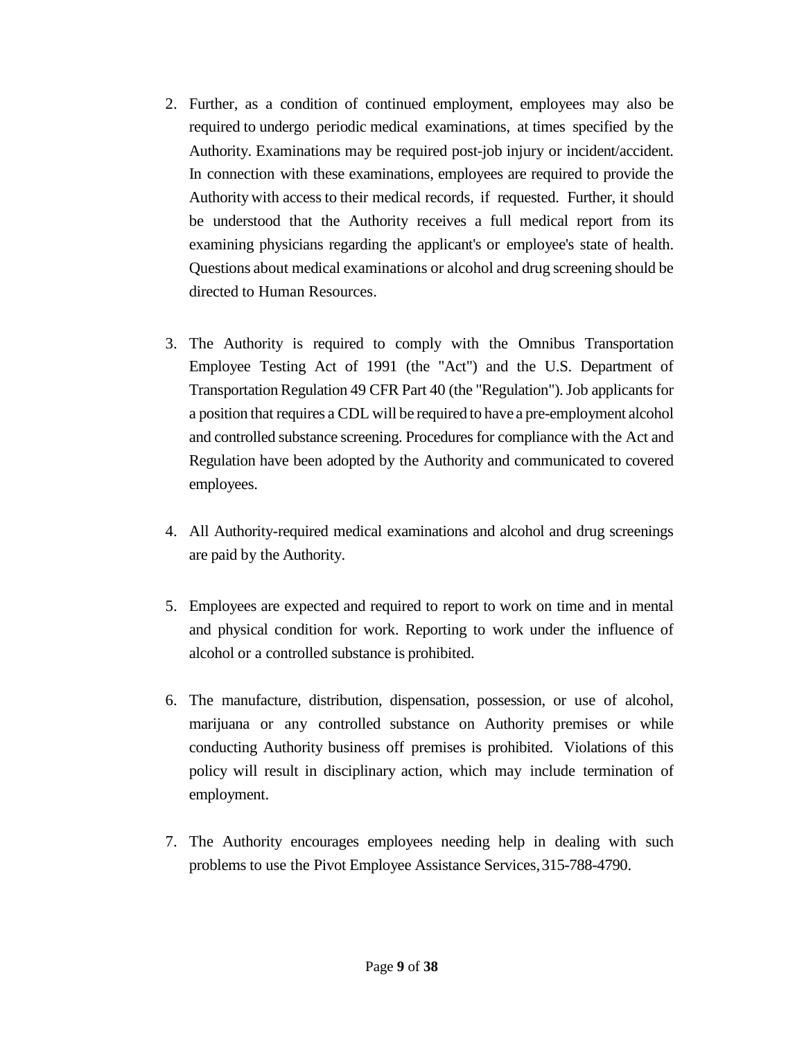- 2. Further, as a condition of continued employment, employees may also be required to undergo periodic medical examinations, at times specified by the Authority. Examinations may be required post-job injury or incident/accident. In connection with these examinations, employees are required to provide the Authoritywith accessto their medical records, if requested. Further, it should be understood that the Authority receives a full medical report from its examining physicians regarding the applicant's or employee's state of health. Questions about medical examinations or alcohol and drug screening should be directed to Human Resources.
- 3. The Authority is required to comply with the Omnibus Transportation Employee Testing Act of 1991 (the "Act") and the U.S. Department of Transportation Regulation 49 CFR Part 40 (the "Regulation"). Job applicants for a position that requires a CDL will be required to have a pre-employment alcohol and controlled substance screening. Procedures for compliance with the Act and Regulation have been adopted by the Authority and communicated to covered employees.
- 4. All Authority-required medical examinations and alcohol and drug screenings are paid by the Authority.
- 5. Employees are expected and required to report to work on time and in mental and physical condition for work. Reporting to work under the influence of alcohol or a controlled substance is prohibited.
- 6. The manufacture, distribution, dispensation, possession, or use of alcohol, marijuana or any controlled substance on Authority premises or while conducting Authority business off premises is prohibited. Violations of this policy will result in disciplinary action, which may include termination of employment.
- 7. The Authority encourages employees needing help in dealing with such problems to use the Pivot Employee Assistance Services,315-788-4790.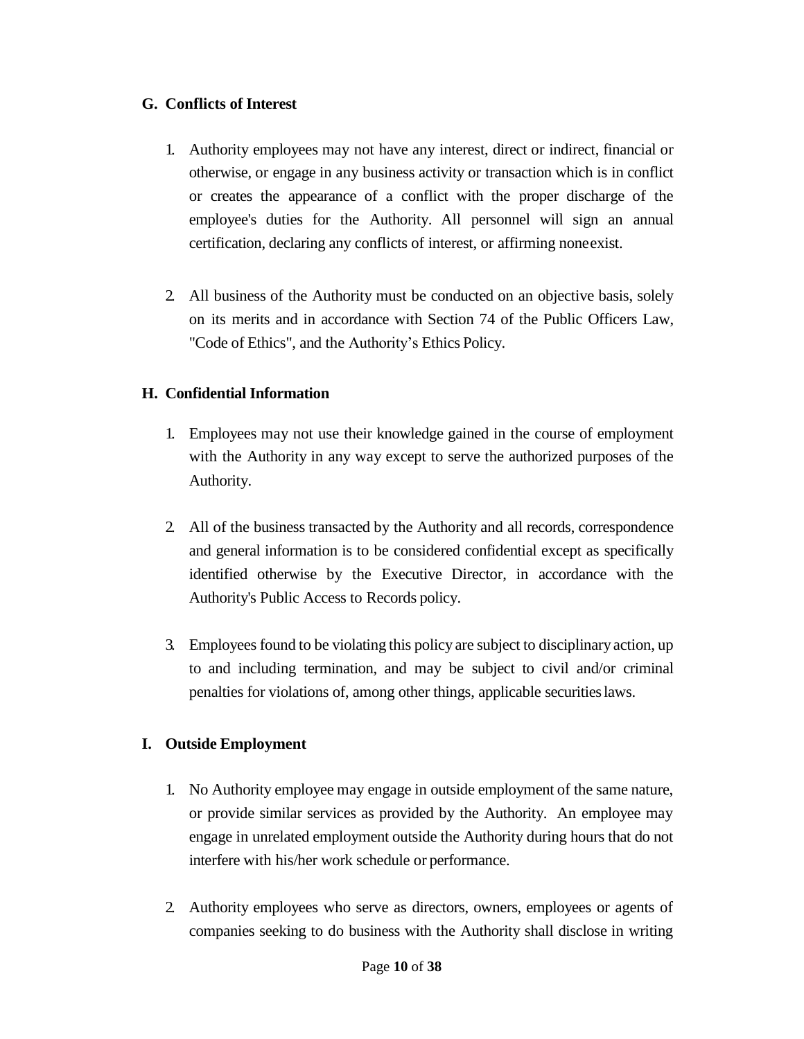#### <span id="page-9-0"></span>**G. Conflicts of Interest**

- 1. Authority employees may not have any interest, direct or indirect, financial or otherwise, or engage in any business activity or transaction which is in conflict or creates the appearance of a conflict with the proper discharge of the employee's duties for the Authority. All personnel will sign an annual certification, declaring any conflicts of interest, or affirming noneexist.
- 2. All business of the Authority must be conducted on an objective basis, solely on its merits and in accordance with Section 74 of the Public Officers Law, "Code of Ethics", and the Authority's Ethics Policy.

## <span id="page-9-1"></span>**H. Confidential Information**

- 1. Employees may not use their knowledge gained in the course of employment with the Authority in any way except to serve the authorized purposes of the Authority.
- 2. All of the business transacted by the Authority and all records, correspondence and general information is to be considered confidential except as specifically identified otherwise by the Executive Director, in accordance with the Authority's Public Access to Records policy.
- 3. Employeesfound to be violating this policy are subject to disciplinary action, up to and including termination, and may be subject to civil and/or criminal penalties for violations of, among other things, applicable securitieslaws.

## <span id="page-9-2"></span>**I. Outside Employment**

- 1. No Authority employee may engage in outside employment of the same nature, or provide similar services as provided by the Authority. An employee may engage in unrelated employment outside the Authority during hours that do not interfere with his/her work schedule or performance.
- 2. Authority employees who serve as directors, owners, employees or agents of companies seeking to do business with the Authority shall disclose in writing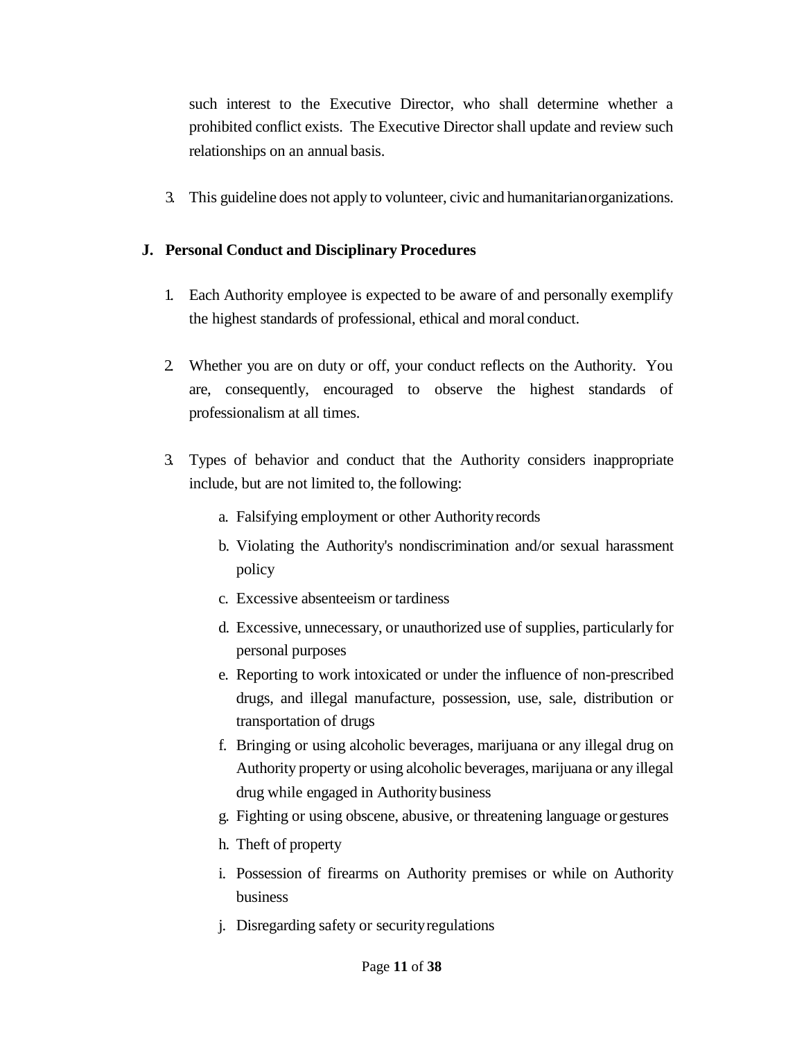such interest to the Executive Director, who shall determine whether a prohibited conflict exists. The Executive Director shall update and review such relationships on an annual basis.

3. This guideline does not apply to volunteer, civic and humanitarianorganizations.

#### <span id="page-10-0"></span>**J. Personal Conduct and Disciplinary Procedures**

- 1. Each Authority employee is expected to be aware of and personally exemplify the highest standards of professional, ethical and moral conduct.
- 2. Whether you are on duty or off, your conduct reflects on the Authority. You are, consequently, encouraged to observe the highest standards of professionalism at all times.
- 3. Types of behavior and conduct that the Authority considers inappropriate include, but are not limited to, the following:
	- a. Falsifying employment or other Authorityrecords
	- b. Violating the Authority's nondiscrimination and/or sexual harassment policy
	- c. Excessive absenteeism or tardiness
	- d. Excessive, unnecessary, or unauthorized use of supplies, particularly for personal purposes
	- e. Reporting to work intoxicated or under the influence of non-prescribed drugs, and illegal manufacture, possession, use, sale, distribution or transportation of drugs
	- f. Bringing or using alcoholic beverages, marijuana or any illegal drug on Authority property or using alcoholic beverages, marijuana or any illegal drug while engaged in Authoritybusiness
	- g. Fighting or using obscene, abusive, or threatening language orgestures
	- h. Theft of property
	- i. Possession of firearms on Authority premises or while on Authority business
	- j. Disregarding safety or securityregulations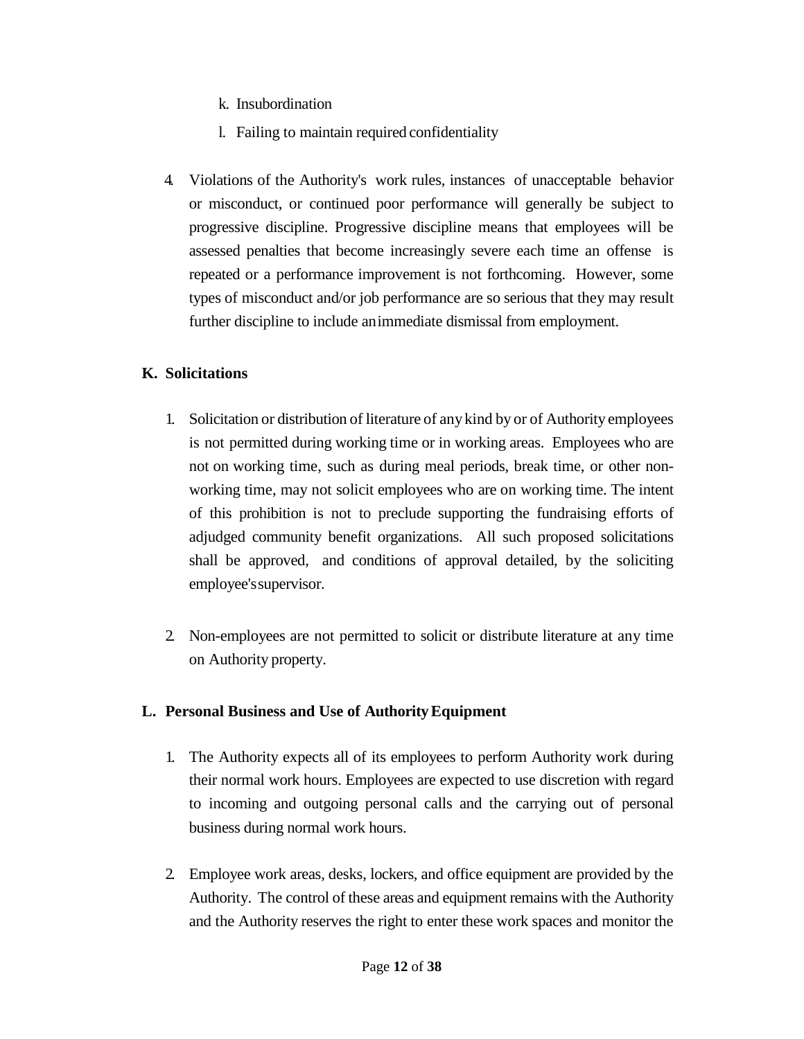- k. Insubordination
- l. Failing to maintain required confidentiality
- 4. Violations of the Authority's work rules, instances of unacceptable behavior or misconduct, or continued poor performance will generally be subject to progressive discipline. Progressive discipline means that employees will be assessed penalties that become increasingly severe each time an offense is repeated or a performance improvement is not forthcoming. However, some types of misconduct and/or job performance are so serious that they may result further discipline to include animmediate dismissal from employment.

#### <span id="page-11-0"></span>**K. Solicitations**

- 1. Solicitation or distribution of literature of any kind by or of Authority employees is not permitted during working time or in working areas. Employees who are not on working time, such as during meal periods, break time, or other nonworking time, may not solicit employees who are on working time. The intent of this prohibition is not to preclude supporting the fundraising efforts of adjudged community benefit organizations. All such proposed solicitations shall be approved, and conditions of approval detailed, by the soliciting employee'ssupervisor.
- 2. Non-employees are not permitted to solicit or distribute literature at any time on Authority property.

#### <span id="page-11-1"></span>**L. Personal Business and Use of AuthorityEquipment**

- 1. The Authority expects all of its employees to perform Authority work during their normal work hours. Employees are expected to use discretion with regard to incoming and outgoing personal calls and the carrying out of personal business during normal work hours.
- 2. Employee work areas, desks, lockers, and office equipment are provided by the Authority. The control of these areas and equipment remains with the Authority and the Authority reserves the right to enter these work spaces and monitor the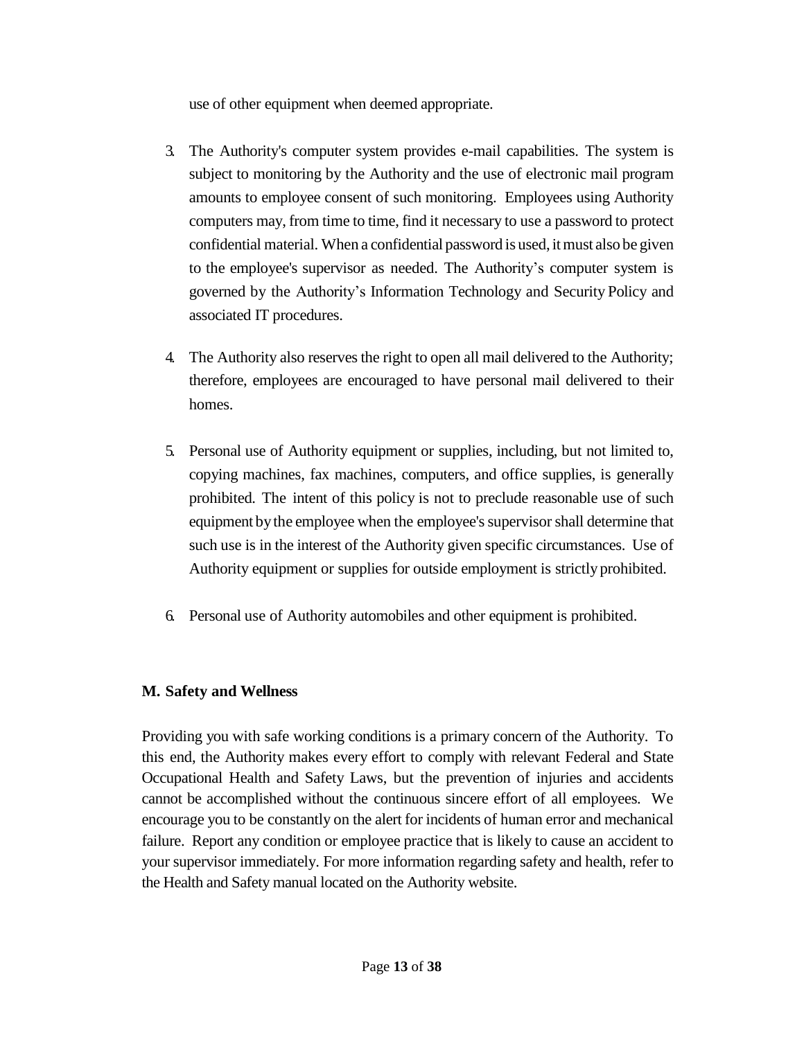use of other equipment when deemed appropriate.

- 3. The Authority's computer system provides e-mail capabilities. The system is subject to monitoring by the Authority and the use of electronic mail program amounts to employee consent of such monitoring. Employees using Authority computers may, from time to time, find it necessary to use a password to protect confidential material. When a confidential password is used, itmust also be given to the employee's supervisor as needed. The Authority's computer system is governed by the Authority's Information Technology and Security Policy and associated IT procedures.
- 4. The Authority also reserves the right to open all mail delivered to the Authority; therefore, employees are encouraged to have personal mail delivered to their homes.
- 5. Personal use of Authority equipment or supplies, including, but not limited to, copying machines, fax machines, computers, and office supplies, is generally prohibited. The intent of this policy is not to preclude reasonable use of such equipment bythe employee when the employee's supervisor shall determine that such use is in the interest of the Authority given specific circumstances. Use of Authority equipment or supplies for outside employment is strictly prohibited.
- 6. Personal use of Authority automobiles and other equipment is prohibited.

## <span id="page-12-0"></span>**M. Safety and Wellness**

Providing you with safe working conditions is a primary concern of the Authority. To this end, the Authority makes every effort to comply with relevant Federal and State Occupational Health and Safety Laws, but the prevention of injuries and accidents cannot be accomplished without the continuous sincere effort of all employees. We encourage you to be constantly on the alert for incidents of human error and mechanical failure. Report any condition or employee practice that is likely to cause an accident to your supervisor immediately. For more information regarding safety and health, refer to the Health and Safety manual located on the Authority website.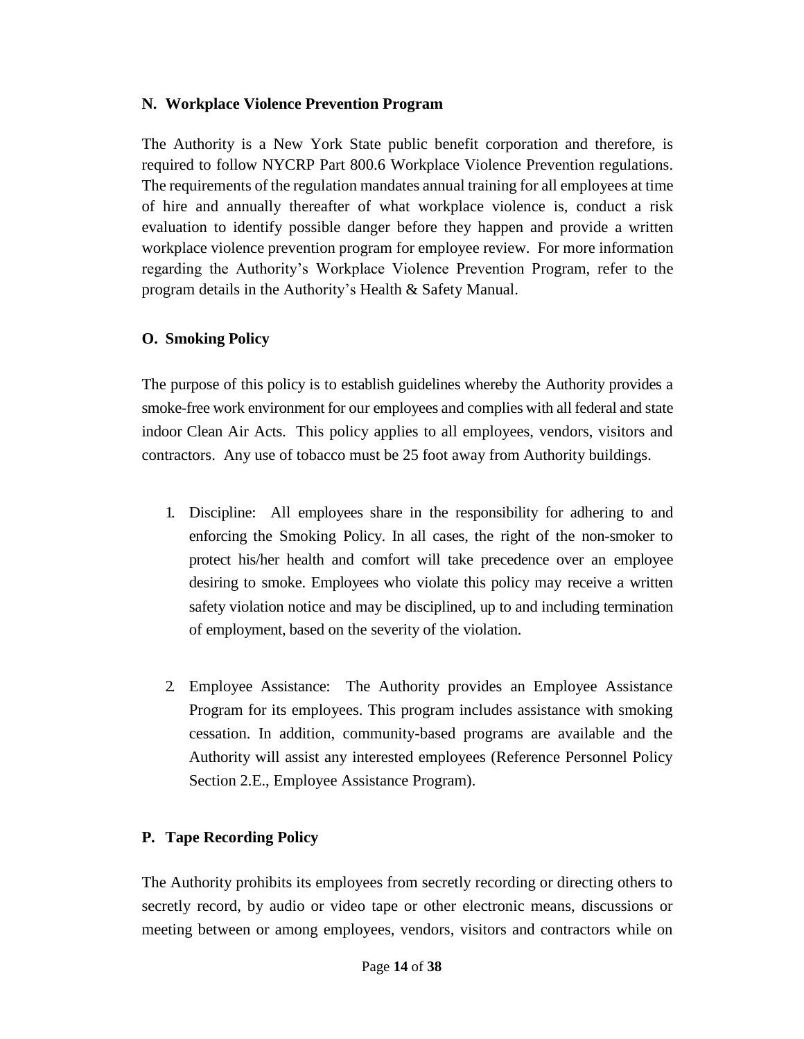#### <span id="page-13-0"></span>**N. Workplace Violence Prevention Program**

The Authority is a New York State public benefit corporation and therefore, is required to follow NYCRP Part 800.6 Workplace Violence Prevention regulations. The requirements of the regulation mandates annual training for all employees at time of hire and annually thereafter of what workplace violence is, conduct a risk evaluation to identify possible danger before they happen and provide a written workplace violence prevention program for employee review. For more information regarding the Authority's Workplace Violence Prevention Program, refer to the program details in the Authority's Health & Safety Manual.

#### <span id="page-13-1"></span>**O. Smoking Policy**

The purpose of this policy is to establish guidelines whereby the Authority provides a smoke-free work environment for our employees and complies with all federal and state indoor Clean Air Acts. This policy applies to all employees, vendors, visitors and contractors. Any use of tobacco must be 25 foot away from Authority buildings.

- 1. Discipline: All employees share in the responsibility for adhering to and enforcing the Smoking Policy. In all cases, the right of the non-smoker to protect his/her health and comfort will take precedence over an employee desiring to smoke. Employees who violate this policy may receive a written safety violation notice and may be disciplined, up to and including termination of employment, based on the severity of the violation.
- 2. Employee Assistance: The Authority provides an Employee Assistance Program for its employees. This program includes assistance with smoking cessation. In addition, community-based programs are available and the Authority will assist any interested employees (Reference Personnel Policy Section 2.E., Employee Assistance Program).

## <span id="page-13-2"></span>**P. Tape Recording Policy**

The Authority prohibits its employees from secretly recording or directing others to secretly record, by audio or video tape or other electronic means, discussions or meeting between or among employees, vendors, visitors and contractors while on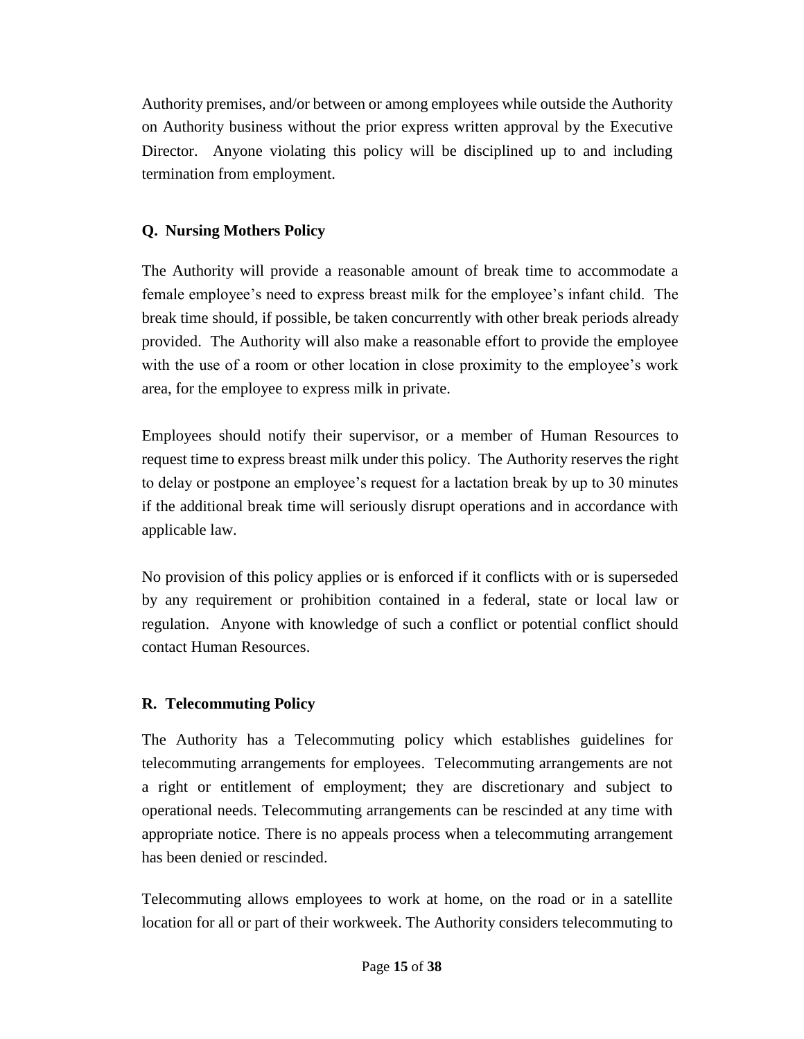Authority premises, and/or between or among employees while outside the Authority on Authority business without the prior express written approval by the Executive Director. Anyone violating this policy will be disciplined up to and including termination from employment.

## <span id="page-14-0"></span>**Q. Nursing Mothers Policy**

The Authority will provide a reasonable amount of break time to accommodate a female employee's need to express breast milk for the employee's infant child. The break time should, if possible, be taken concurrently with other break periods already provided. The Authority will also make a reasonable effort to provide the employee with the use of a room or other location in close proximity to the employee's work area, for the employee to express milk in private.

Employees should notify their supervisor, or a member of Human Resources to request time to express breast milk under this policy. The Authority reserves the right to delay or postpone an employee's request for a lactation break by up to 30 minutes if the additional break time will seriously disrupt operations and in accordance with applicable law.

No provision of this policy applies or is enforced if it conflicts with or is superseded by any requirement or prohibition contained in a federal, state or local law or regulation. Anyone with knowledge of such a conflict or potential conflict should contact Human Resources.

## <span id="page-14-1"></span>**R. Telecommuting Policy**

The Authority has a Telecommuting policy which establishes guidelines for telecommuting arrangements for employees. Telecommuting arrangements are not a right or entitlement of employment; they are discretionary and subject to operational needs. Telecommuting arrangements can be rescinded at any time with appropriate notice. There is no appeals process when a telecommuting arrangement has been denied or rescinded.

Telecommuting allows employees to work at home, on the road or in a satellite location for all or part of their workweek. The Authority considers telecommuting to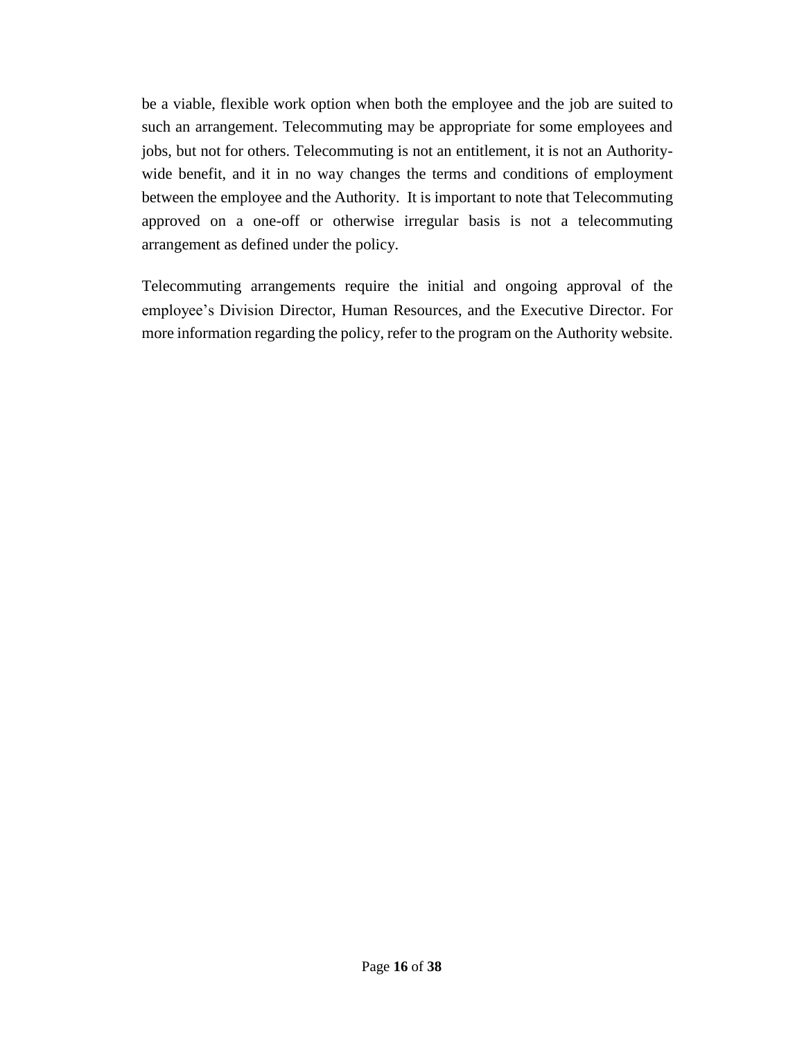be a viable, flexible work option when both the employee and the job are suited to such an arrangement. Telecommuting may be appropriate for some employees and jobs, but not for others. Telecommuting is not an entitlement, it is not an Authoritywide benefit, and it in no way changes the terms and conditions of employment between the employee and the Authority. It is important to note that Telecommuting approved on a one-off or otherwise irregular basis is not a telecommuting arrangement as defined under the policy.

Telecommuting arrangements require the initial and ongoing approval of the employee's Division Director, Human Resources, and the Executive Director. For more information regarding the policy, refer to the program on the Authority website.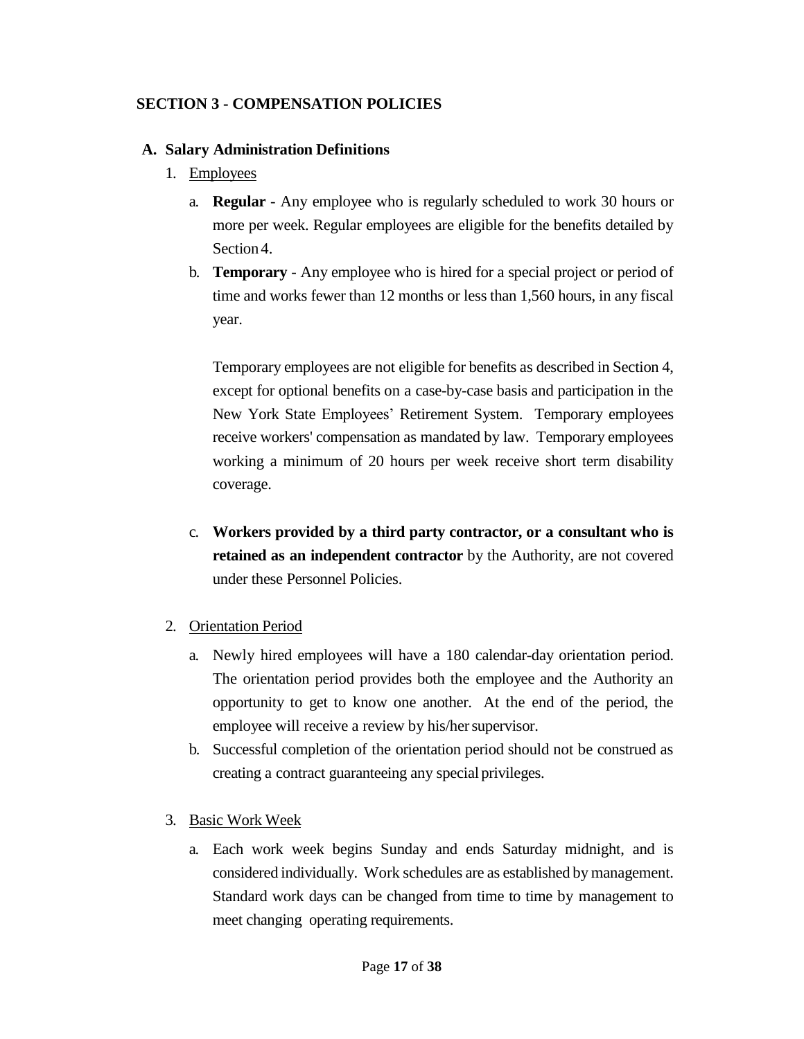#### <span id="page-16-0"></span>**SECTION 3 - COMPENSATION POLICIES**

#### <span id="page-16-1"></span>**A. Salary Administration Definitions**

- 1. Employees
	- a. **Regular**  Any employee who is regularly scheduled to work 30 hours or more per week. Regular employees are eligible for the benefits detailed by Section 4.
	- b. **Temporary**  Any employee who is hired for a special project or period of time and works fewer than 12 months or less than 1,560 hours, in any fiscal year.

Temporary employees are not eligible for benefits as described in Section 4, except for optional benefits on a case-by-case basis and participation in the New York State Employees' Retirement System. Temporary employees receive workers' compensation as mandated by law. Temporary employees working a minimum of 20 hours per week receive short term disability coverage.

- c. **Workers provided by a third party contractor, or a consultant who is retained as an independent contractor** by the Authority, are not covered under these Personnel Policies.
- 2. Orientation Period
	- a. Newly hired employees will have a 180 calendar-day orientation period. The orientation period provides both the employee and the Authority an opportunity to get to know one another. At the end of the period, the employee will receive a review by his/her supervisor.
	- b. Successful completion of the orientation period should not be construed as creating a contract guaranteeing any special privileges.
- 3. Basic Work Week
	- a. Each work week begins Sunday and ends Saturday midnight, and is considered individually. Work schedules are as established by management. Standard work days can be changed from time to time by management to meet changing operating requirements.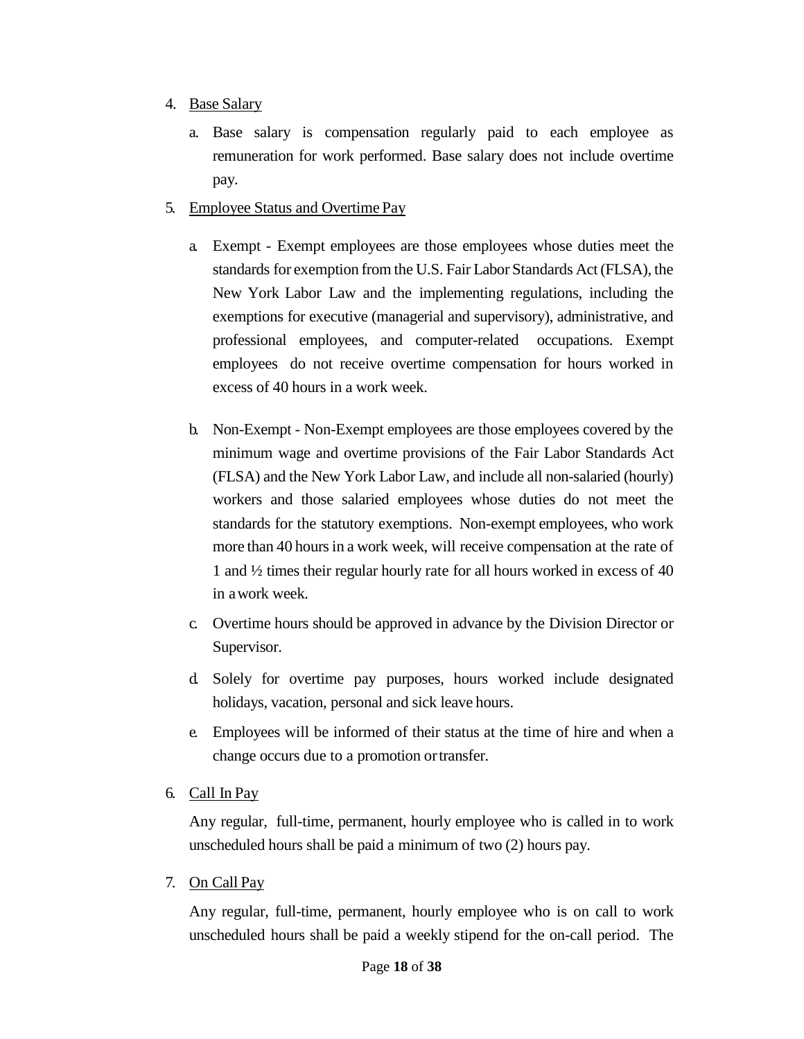#### 4. Base Salary

- a. Base salary is compensation regularly paid to each employee as remuneration for work performed. Base salary does not include overtime pay.
- 5. Employee Status and Overtime Pay
	- a. Exempt Exempt employees are those employees whose duties meet the standards for exemption from the U.S. Fair Labor Standards Act(FLSA), the New York Labor Law and the implementing regulations, including the exemptions for executive (managerial and supervisory), administrative, and professional employees, and computer-related occupations. Exempt employees do not receive overtime compensation for hours worked in excess of 40 hours in a work week.
	- b. Non-Exempt Non-Exempt employees are those employees covered by the minimum wage and overtime provisions of the Fair Labor Standards Act (FLSA) and the New York Labor Law, and include all non-salaried (hourly) workers and those salaried employees whose duties do not meet the standards for the statutory exemptions. Non-exempt employees, who work more than 40 hours in a work week, will receive compensation at the rate of 1 and ½ times their regular hourly rate for all hours worked in excess of 40 in awork week.
	- c. Overtime hours should be approved in advance by the Division Director or Supervisor.
	- d. Solely for overtime pay purposes, hours worked include designated holidays, vacation, personal and sick leave hours.
	- e. Employees will be informed of their status at the time of hire and when a change occurs due to a promotion ortransfer.
- 6. Call In Pay

Any regular, full-time, permanent, hourly employee who is called in to work unscheduled hours shall be paid a minimum of two (2) hours pay.

7. On Call Pay

Any regular, full-time, permanent, hourly employee who is on call to work unscheduled hours shall be paid a weekly stipend for the on-call period. The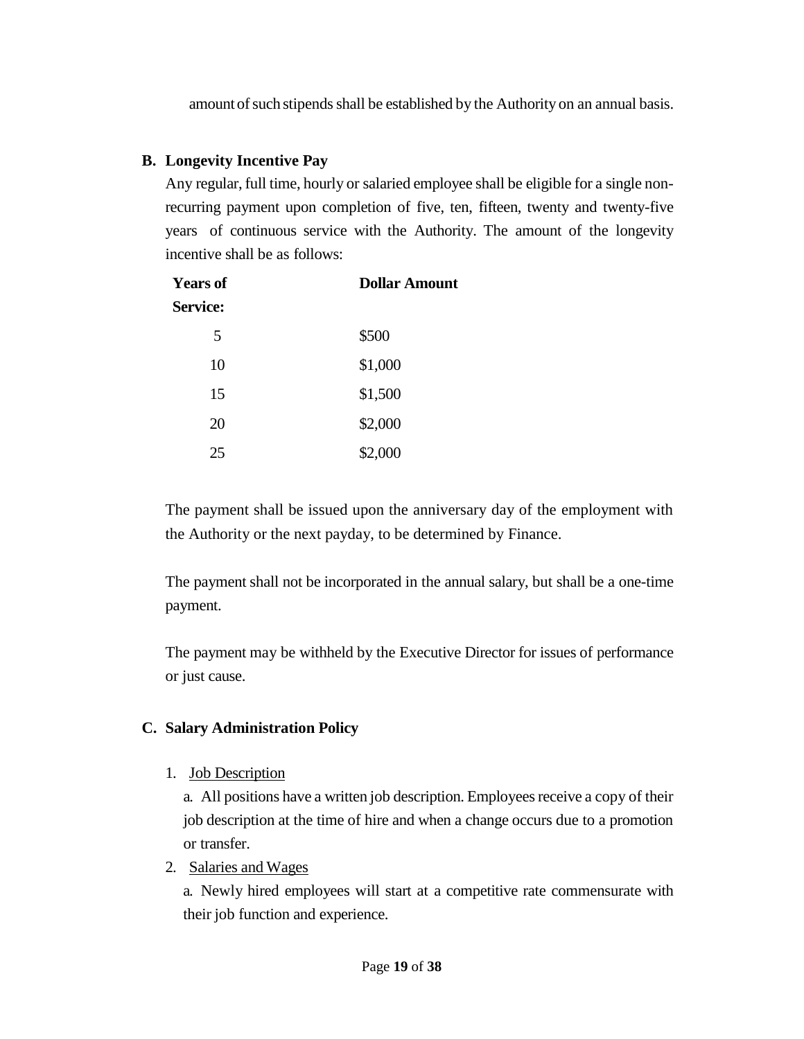amount of such stipends shall be established by the Authority on an annual basis.

## <span id="page-18-0"></span>**B. Longevity Incentive Pay**

Any regular, full time, hourly or salaried employee shall be eligible for a single nonrecurring payment upon completion of five, ten, fifteen, twenty and twenty-five years of continuous service with the Authority. The amount of the longevity incentive shall be as follows:

| <b>Years of</b> | <b>Dollar Amount</b> |  |
|-----------------|----------------------|--|
| <b>Service:</b> |                      |  |
| 5               | \$500                |  |
| 10              | \$1,000              |  |
| 15              | \$1,500              |  |
| 20              | \$2,000              |  |
| 25              | \$2,000              |  |

The payment shall be issued upon the anniversary day of the employment with the Authority or the next payday, to be determined by Finance.

The payment shall not be incorporated in the annual salary, but shall be a one-time payment.

The payment may be withheld by the Executive Director for issues of performance or just cause.

## <span id="page-18-1"></span>**C. Salary Administration Policy**

1. Job Description

a. All positions have a written job description. Employees receive a copy of their job description at the time of hire and when a change occurs due to a promotion or transfer.

2. Salaries and Wages

a. Newly hired employees will start at a competitive rate commensurate with their job function and experience.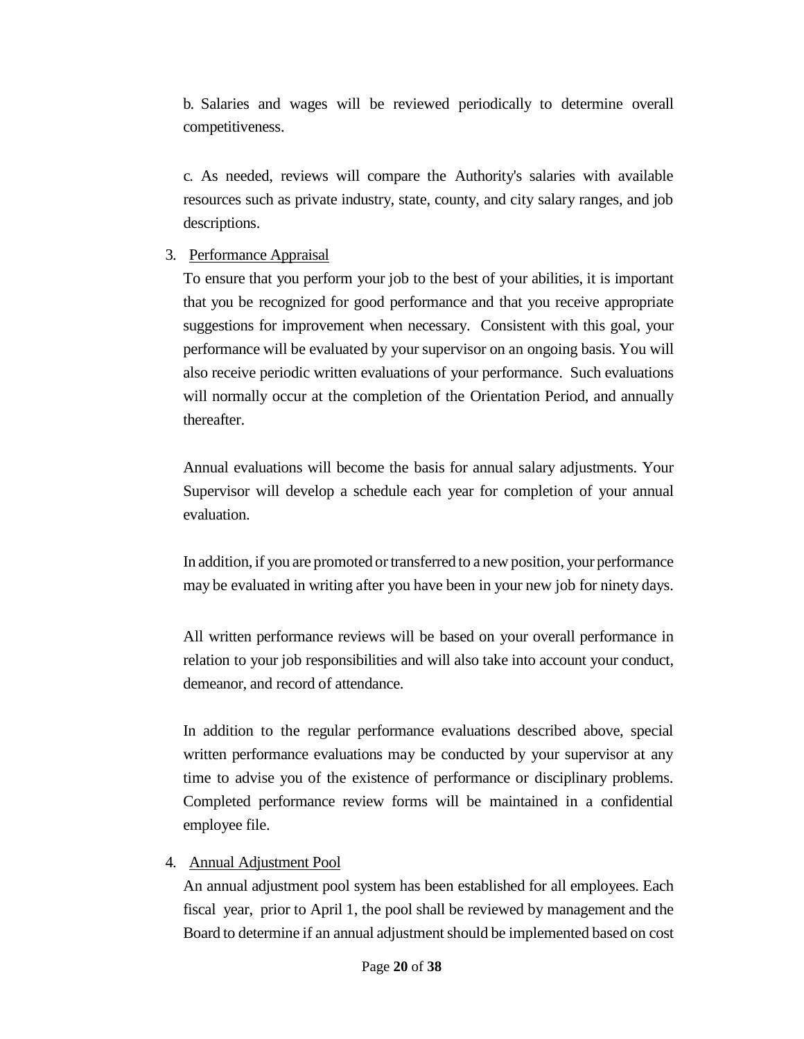b. Salaries and wages will be reviewed periodically to determine overall competitiveness.

c. As needed, reviews will compare the Authority's salaries with available resources such as private industry, state, county, and city salary ranges, and job descriptions.

#### 3. Performance Appraisal

To ensure that you perform your job to the best of your abilities, it is important that you be recognized for good performance and that you receive appropriate suggestions for improvement when necessary. Consistent with this goal, your performance will be evaluated by your supervisor on an ongoing basis. You will also receive periodic written evaluations of your performance. Such evaluations will normally occur at the completion of the Orientation Period, and annually thereafter.

Annual evaluations will become the basis for annual salary adjustments. Your Supervisor will develop a schedule each year for completion of your annual evaluation.

In addition, if you are promoted or transferred to a new position, your performance may be evaluated in writing after you have been in your new job for ninety days.

All written performance reviews will be based on your overall performance in relation to your job responsibilities and will also take into account your conduct, demeanor, and record of attendance.

In addition to the regular performance evaluations described above, special written performance evaluations may be conducted by your supervisor at any time to advise you of the existence of performance or disciplinary problems. Completed performance review forms will be maintained in a confidential employee file.

#### 4. Annual Adjustment Pool

An annual adjustment pool system has been established for all employees. Each fiscal year, prior to April 1, the pool shall be reviewed by management and the Board to determine if an annual adjustment should be implemented based on cost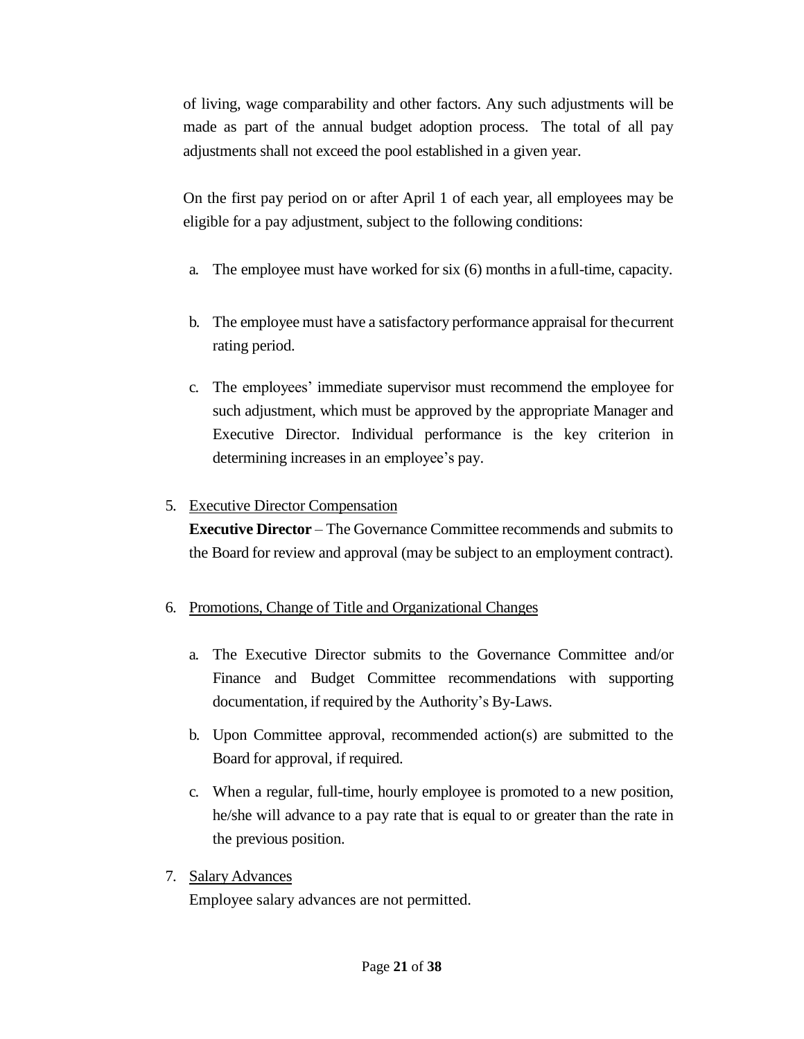of living, wage comparability and other factors. Any such adjustments will be made as part of the annual budget adoption process. The total of all pay adjustments shall not exceed the pool established in a given year.

On the first pay period on or after April 1 of each year, all employees may be eligible for a pay adjustment, subject to the following conditions:

- a. The employee must have worked for six (6) months in afull-time, capacity.
- b. The employee must have a satisfactory performance appraisal for thecurrent rating period.
- c. The employees' immediate supervisor must recommend the employee for such adjustment, which must be approved by the appropriate Manager and Executive Director. Individual performance is the key criterion in determining increases in an employee's pay.

## 5. Executive Director Compensation

**Executive Director** – The Governance Committee recommends and submits to the Board for review and approval (may be subject to an employment contract).

## 6. Promotions, Change of Title and Organizational Changes

- a. The Executive Director submits to the Governance Committee and/or Finance and Budget Committee recommendations with supporting documentation, if required by the Authority's By-Laws.
- b. Upon Committee approval, recommended action(s) are submitted to the Board for approval, if required.
- c. When a regular, full-time, hourly employee is promoted to a new position, he/she will advance to a pay rate that is equal to or greater than the rate in the previous position.
- 7. Salary Advances

Employee salary advances are not permitted.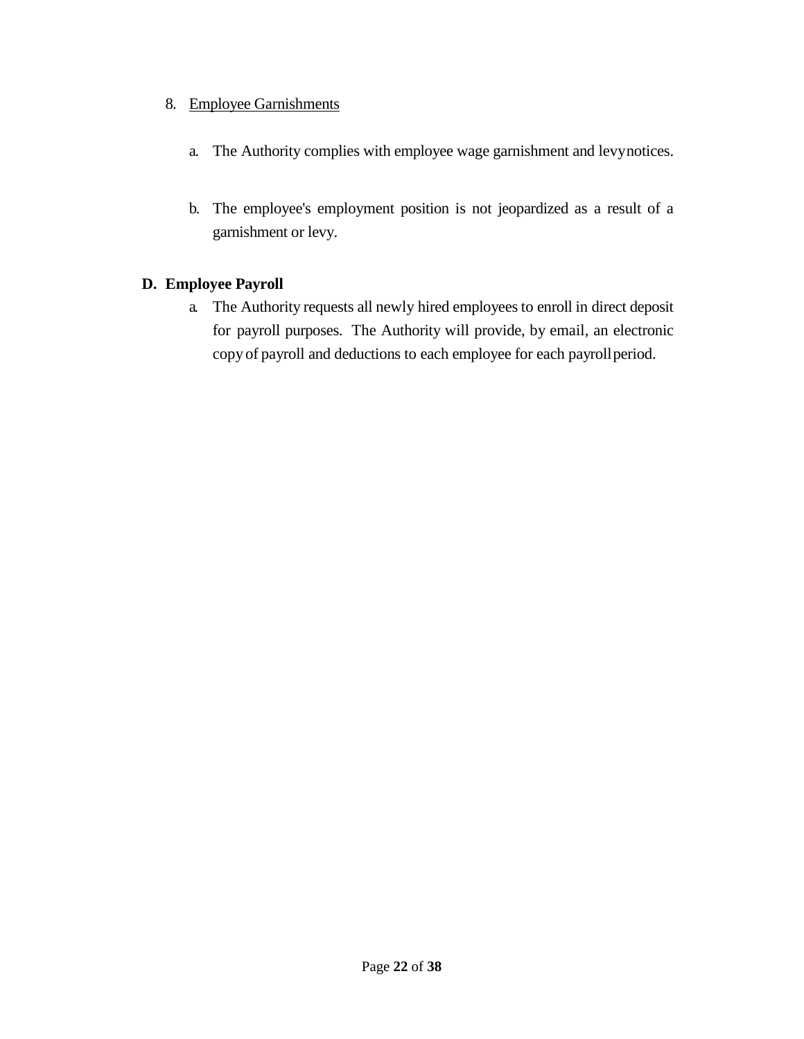## 8. Employee Garnishments

- a. The Authority complies with employee wage garnishment and levynotices.
- b. The employee's employment position is not jeopardized as a result of a garnishment or levy.

## <span id="page-21-0"></span>**D. Employee Payroll**

a. The Authority requests all newly hired employees to enroll in direct deposit for payroll purposes. The Authority will provide, by email, an electronic copy of payroll and deductions to each employee for each payrollperiod.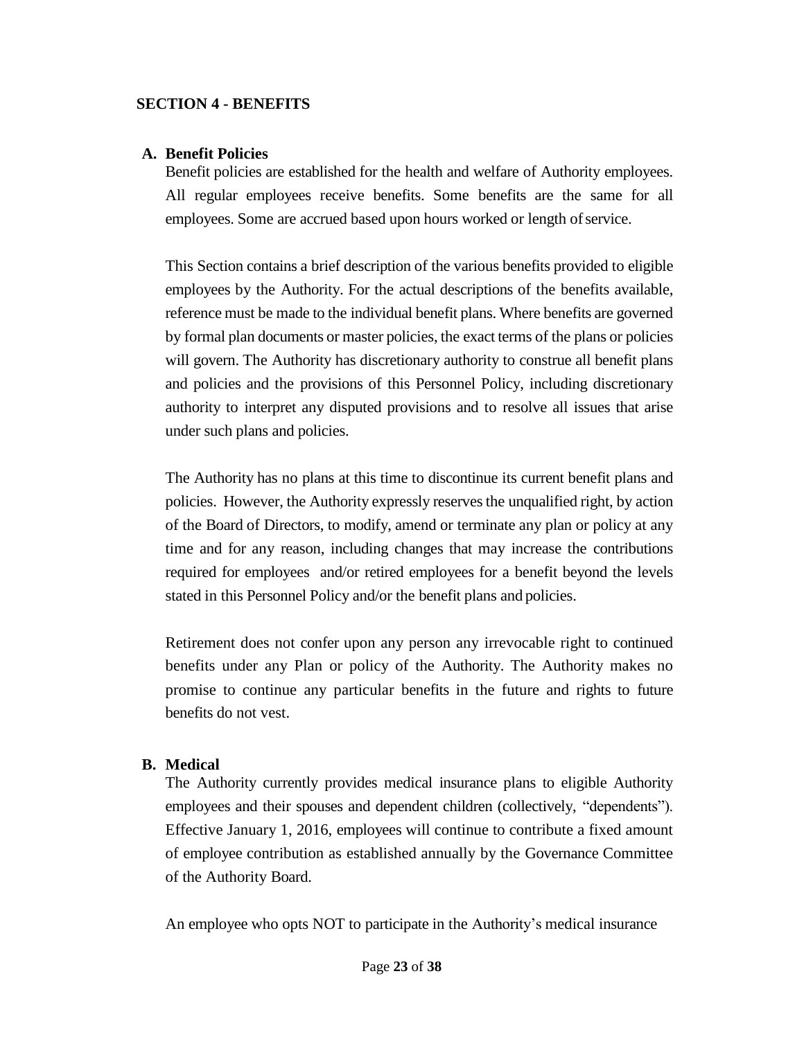#### <span id="page-22-0"></span>**SECTION 4 - BENEFITS**

#### <span id="page-22-1"></span>**A. Benefit Policies**

Benefit policies are established for the health and welfare of Authority employees. All regular employees receive benefits. Some benefits are the same for all employees. Some are accrued based upon hours worked or length of service.

This Section contains a brief description of the various benefits provided to eligible employees by the Authority. For the actual descriptions of the benefits available, reference must be made to the individual benefit plans. Where benefits are governed by formal plan documents or master policies, the exact terms of the plans or policies will govern. The Authority has discretionary authority to construe all benefit plans and policies and the provisions of this Personnel Policy, including discretionary authority to interpret any disputed provisions and to resolve all issues that arise under such plans and policies.

The Authority has no plans at this time to discontinue its current benefit plans and policies. However, the Authority expressly reserves the unqualified right, by action of the Board of Directors, to modify, amend or terminate any plan or policy at any time and for any reason, including changes that may increase the contributions required for employees and/or retired employees for a benefit beyond the levels stated in this Personnel Policy and/or the benefit plans and policies.

Retirement does not confer upon any person any irrevocable right to continued benefits under any Plan or policy of the Authority. The Authority makes no promise to continue any particular benefits in the future and rights to future benefits do not vest.

#### <span id="page-22-2"></span>**B. Medical**

The Authority currently provides medical insurance plans to eligible Authority employees and their spouses and dependent children (collectively, "dependents"). Effective January 1, 2016, employees will continue to contribute a fixed amount of employee contribution as established annually by the Governance Committee of the Authority Board.

An employee who opts NOT to participate in the Authority's medical insurance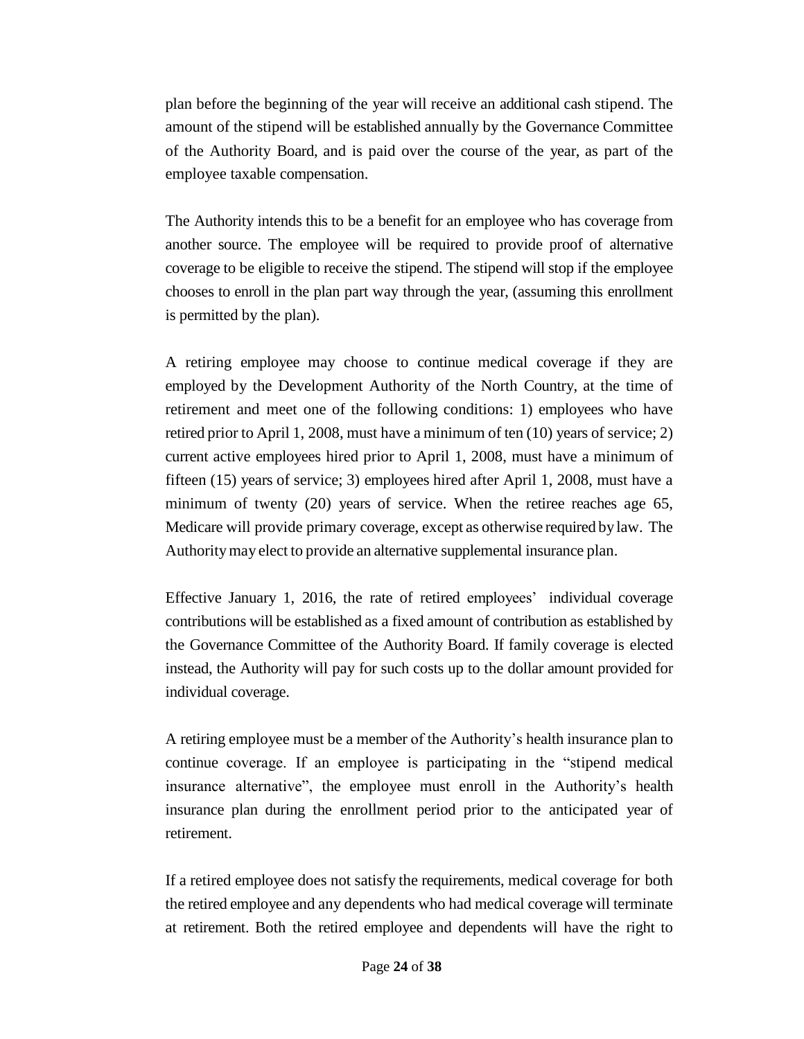plan before the beginning of the year will receive an additional cash stipend. The amount of the stipend will be established annually by the Governance Committee of the Authority Board, and is paid over the course of the year, as part of the employee taxable compensation.

The Authority intends this to be a benefit for an employee who has coverage from another source. The employee will be required to provide proof of alternative coverage to be eligible to receive the stipend. The stipend will stop if the employee chooses to enroll in the plan part way through the year, (assuming this enrollment is permitted by the plan).

A retiring employee may choose to continue medical coverage if they are employed by the Development Authority of the North Country, at the time of retirement and meet one of the following conditions: 1) employees who have retired prior to April 1, 2008, must have a minimum of ten (10) years of service; 2) current active employees hired prior to April 1, 2008, must have a minimum of fifteen (15) years of service; 3) employees hired after April 1, 2008, must have a minimum of twenty (20) years of service. When the retiree reaches age 65, Medicare will provide primary coverage, except as otherwise required bylaw. The Authoritymay elect to provide an alternative supplemental insurance plan.

Effective January 1, 2016, the rate of retired employees' individual coverage contributions will be established as a fixed amount of contribution as established by the Governance Committee of the Authority Board. If family coverage is elected instead, the Authority will pay for such costs up to the dollar amount provided for individual coverage.

A retiring employee must be a member of the Authority's health insurance plan to continue coverage. If an employee is participating in the "stipend medical insurance alternative", the employee must enroll in the Authority's health insurance plan during the enrollment period prior to the anticipated year of retirement.

If a retired employee does not satisfy the requirements, medical coverage for both the retired employee and any dependents who had medical coverage will terminate at retirement. Both the retired employee and dependents will have the right to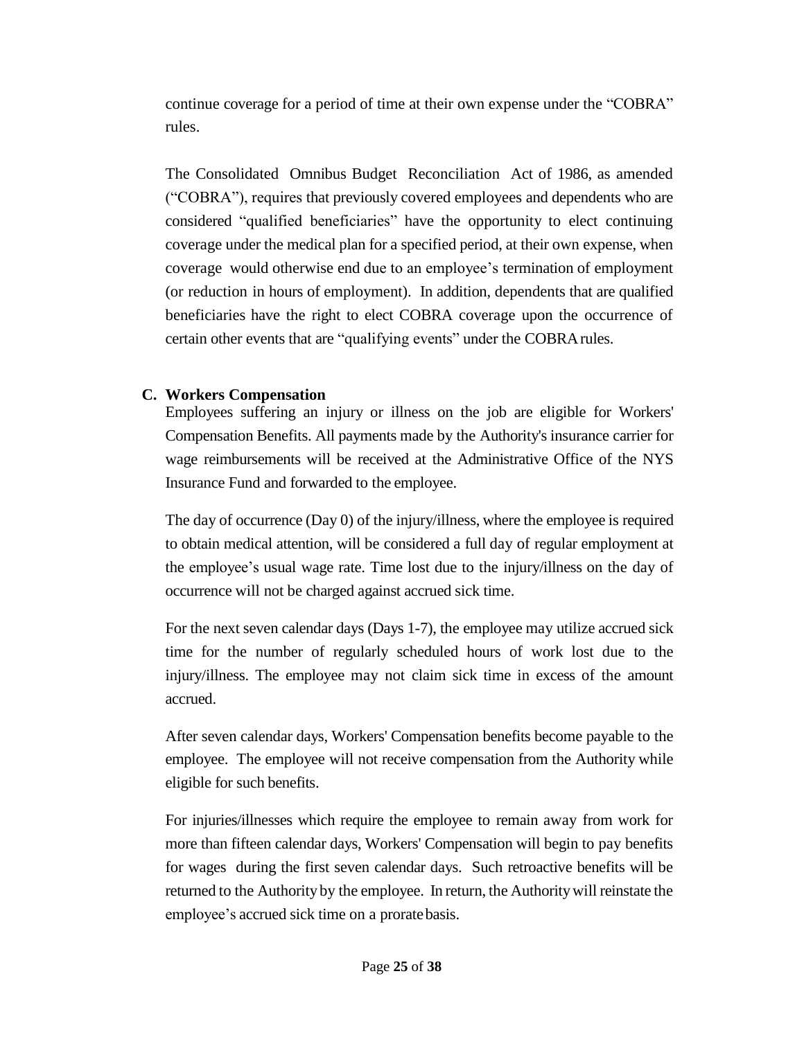continue coverage for a period of time at their own expense under the "COBRA" rules.

The Consolidated Omnibus Budget Reconciliation Act of 1986, as amended ("COBRA"), requires that previously covered employees and dependents who are considered "qualified beneficiaries" have the opportunity to elect continuing coverage under the medical plan for a specified period, at their own expense, when coverage would otherwise end due to an employee's termination of employment (or reduction in hours of employment). In addition, dependents that are qualified beneficiaries have the right to elect COBRA coverage upon the occurrence of certain other events that are "qualifying events" under the COBRArules.

## <span id="page-24-0"></span>**C. Workers Compensation**

Employees suffering an injury or illness on the job are eligible for Workers' Compensation Benefits. All payments made by the Authority's insurance carrier for wage reimbursements will be received at the Administrative Office of the NYS Insurance Fund and forwarded to the employee.

The day of occurrence (Day 0) of the injury/illness, where the employee is required to obtain medical attention, will be considered a full day of regular employment at the employee's usual wage rate. Time lost due to the injury/illness on the day of occurrence will not be charged against accrued sick time.

For the next seven calendar days (Days 1-7), the employee may utilize accrued sick time for the number of regularly scheduled hours of work lost due to the injury/illness. The employee may not claim sick time in excess of the amount accrued.

After seven calendar days, Workers' Compensation benefits become payable to the employee. The employee will not receive compensation from the Authority while eligible for such benefits.

For injuries/illnesses which require the employee to remain away from work for more than fifteen calendar days, Workers' Compensation will begin to pay benefits for wages during the first seven calendar days. Such retroactive benefits will be returned to the Authorityby the employee. In return, the Authoritywill reinstate the employee's accrued sick time on a proratebasis.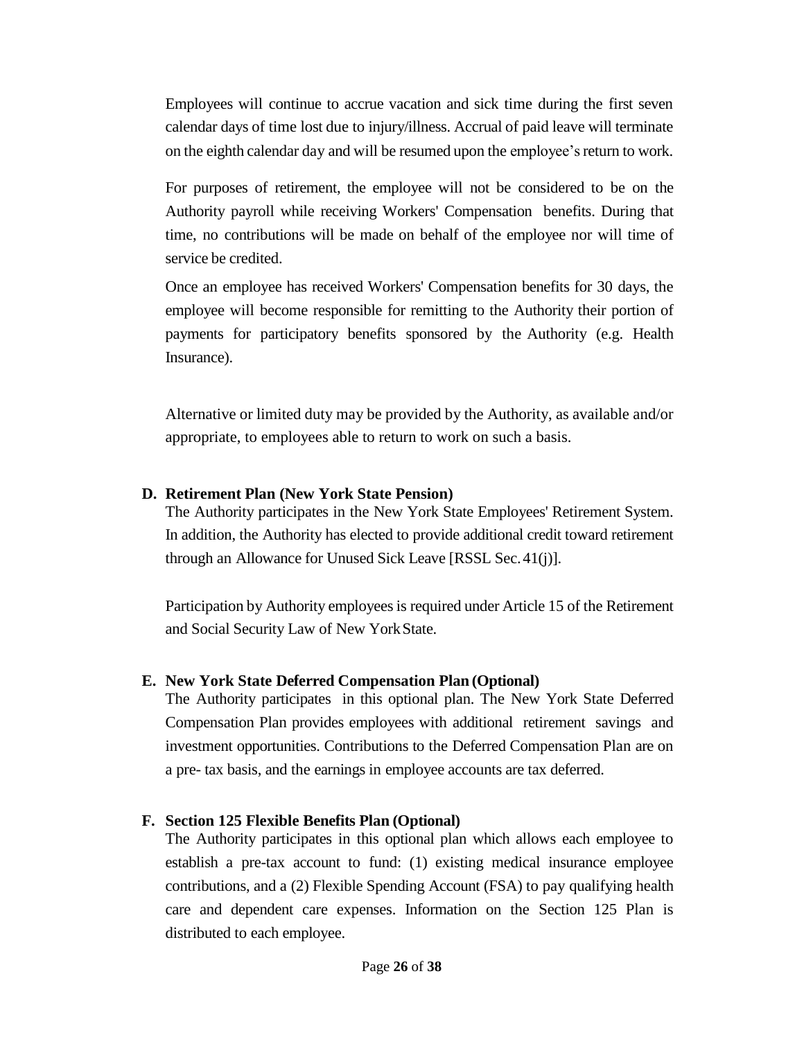Employees will continue to accrue vacation and sick time during the first seven calendar days of time lost due to injury/illness. Accrual of paid leave will terminate on the eighth calendar day and will be resumed upon the employee's return to work.

For purposes of retirement, the employee will not be considered to be on the Authority payroll while receiving Workers' Compensation benefits. During that time, no contributions will be made on behalf of the employee nor will time of service be credited.

Once an employee has received Workers' Compensation benefits for 30 days, the employee will become responsible for remitting to the Authority their portion of payments for participatory benefits sponsored by the Authority (e.g. Health Insurance).

Alternative or limited duty may be provided by the Authority, as available and/or appropriate, to employees able to return to work on such a basis.

#### <span id="page-25-0"></span>**D. Retirement Plan (New York State Pension)**

The Authority participates in the New York State Employees' Retirement System. In addition, the Authority has elected to provide additional credit toward retirement through an Allowance for Unused Sick Leave [RSSL Sec.41(j)].

Participation by Authority employees is required under Article 15 of the Retirement and Social Security Law of New YorkState.

#### <span id="page-25-1"></span>**E. New York State Deferred Compensation Plan (Optional)**

The Authority participates in this optional plan. The New York State Deferred Compensation Plan provides employees with additional retirement savings and investment opportunities. Contributions to the Deferred Compensation Plan are on a pre- tax basis, and the earnings in employee accounts are tax deferred.

#### <span id="page-25-2"></span>**F. Section 125 Flexible Benefits Plan (Optional)**

The Authority participates in this optional plan which allows each employee to establish a pre-tax account to fund: (1) existing medical insurance employee contributions, and a (2) Flexible Spending Account (FSA) to pay qualifying health care and dependent care expenses. Information on the Section 125 Plan is distributed to each employee.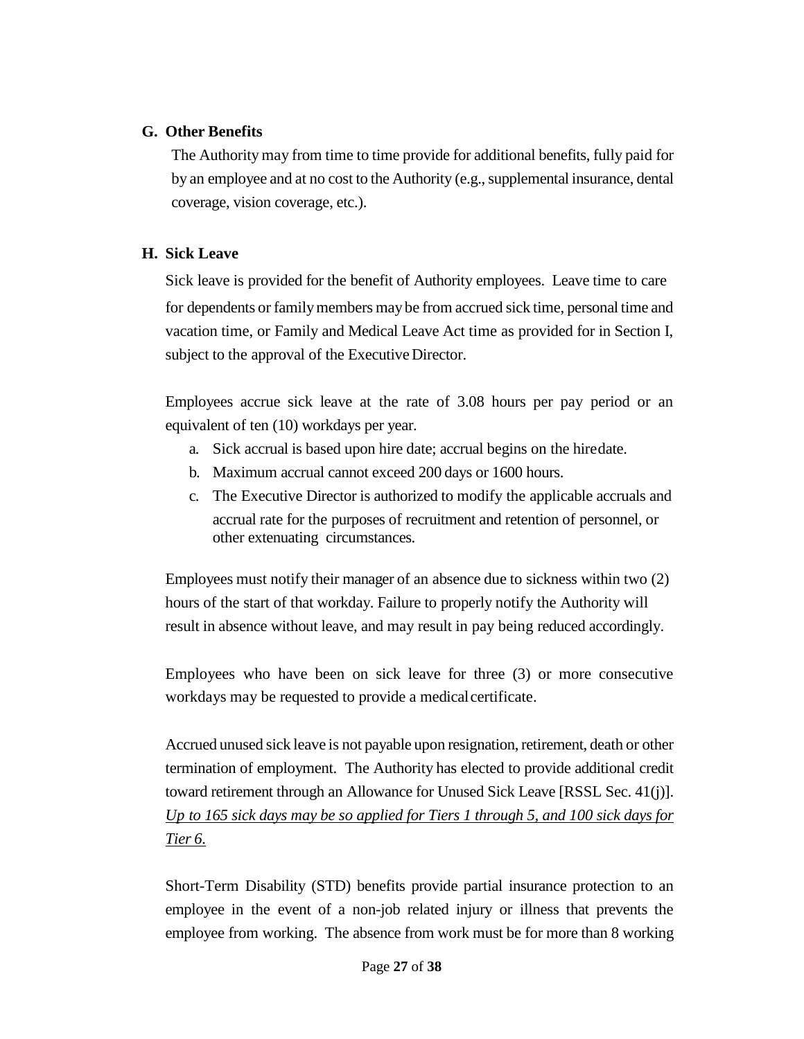#### <span id="page-26-0"></span>**G. Other Benefits**

The Authority may from time to time provide for additional benefits, fully paid for by an employee and at no cost to the Authority (e.g., supplemental insurance, dental coverage, vision coverage, etc.).

#### <span id="page-26-1"></span>**H. Sick Leave**

Sick leave is provided for the benefit of Authority employees. Leave time to care for dependents or family members may be from accrued sick time, personal time and vacation time, or Family and Medical Leave Act time as provided for in Section I, subject to the approval of the Executive Director.

Employees accrue sick leave at the rate of 3.08 hours per pay period or an equivalent of ten (10) workdays per year.

- a. Sick accrual is based upon hire date; accrual begins on the hiredate.
- b. Maximum accrual cannot exceed 200 days or 1600 hours.
- c. The Executive Director is authorized to modify the applicable accruals and accrual rate for the purposes of recruitment and retention of personnel, or other extenuating circumstances.

Employees must notify their manager of an absence due to sickness within two (2) hours of the start of that workday. Failure to properly notify the Authority will result in absence without leave, and may result in pay being reduced accordingly.

Employees who have been on sick leave for three (3) or more consecutive workdays may be requested to provide a medical certificate.

Accrued unused sick leave is not payable upon resignation, retirement, death or other termination of employment. The Authority has elected to provide additional credit toward retirement through an Allowance for Unused Sick Leave [RSSL Sec. 41(j)]. *Up to 165 sick days may be so applied for Tiers 1 through 5, and 100 sick days for Tier 6.*

Short-Term Disability (STD) benefits provide partial insurance protection to an employee in the event of a non-job related injury or illness that prevents the employee from working. The absence from work must be for more than 8 working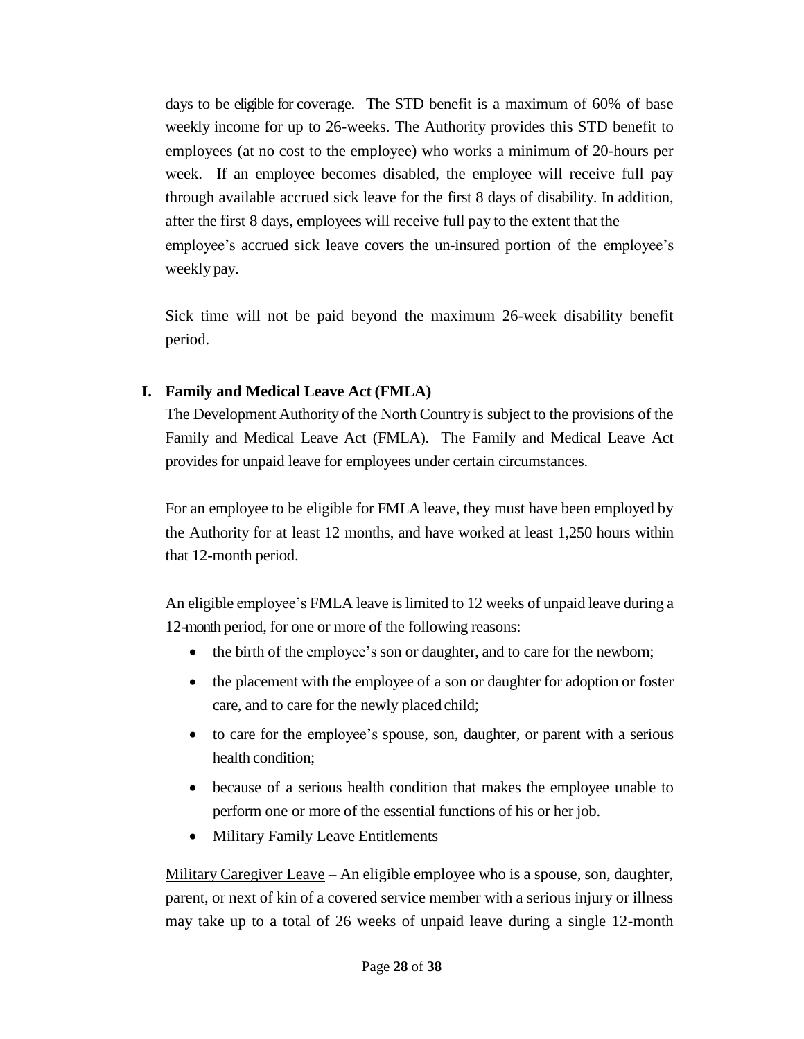days to be eligible for coverage. The STD benefit is a maximum of 60% of base weekly income for up to 26-weeks. The Authority provides this STD benefit to employees (at no cost to the employee) who works a minimum of 20-hours per week. If an employee becomes disabled, the employee will receive full pay through available accrued sick leave for the first 8 days of disability. In addition, after the first 8 days, employees will receive full pay to the extent that the employee's accrued sick leave covers the un-insured portion of the employee's weekly pay.

Sick time will not be paid beyond the maximum 26-week disability benefit period.

#### <span id="page-27-0"></span>**I. Family and Medical Leave Act (FMLA)**

The Development Authority of the North Country is subject to the provisions of the Family and Medical Leave Act (FMLA). The Family and Medical Leave Act provides for unpaid leave for employees under certain circumstances.

For an employee to be eligible for FMLA leave, they must have been employed by the Authority for at least 12 months, and have worked at least 1,250 hours within that 12-month period.

An eligible employee's FMLA leave is limited to 12 weeks of unpaid leave during a 12-month period, for one or more of the following reasons:

- the birth of the employee's son or daughter, and to care for the newborn;
- the placement with the employee of a son or daughter for adoption or foster care, and to care for the newly placed child;
- to care for the employee's spouse, son, daughter, or parent with a serious health condition;
- because of a serious health condition that makes the employee unable to perform one or more of the essential functions of his or her job.
- Military Family Leave Entitlements

Military Caregiver Leave - An eligible employee who is a spouse, son, daughter, parent, or next of kin of a covered service member with a serious injury or illness may take up to a total of 26 weeks of unpaid leave during a single 12-month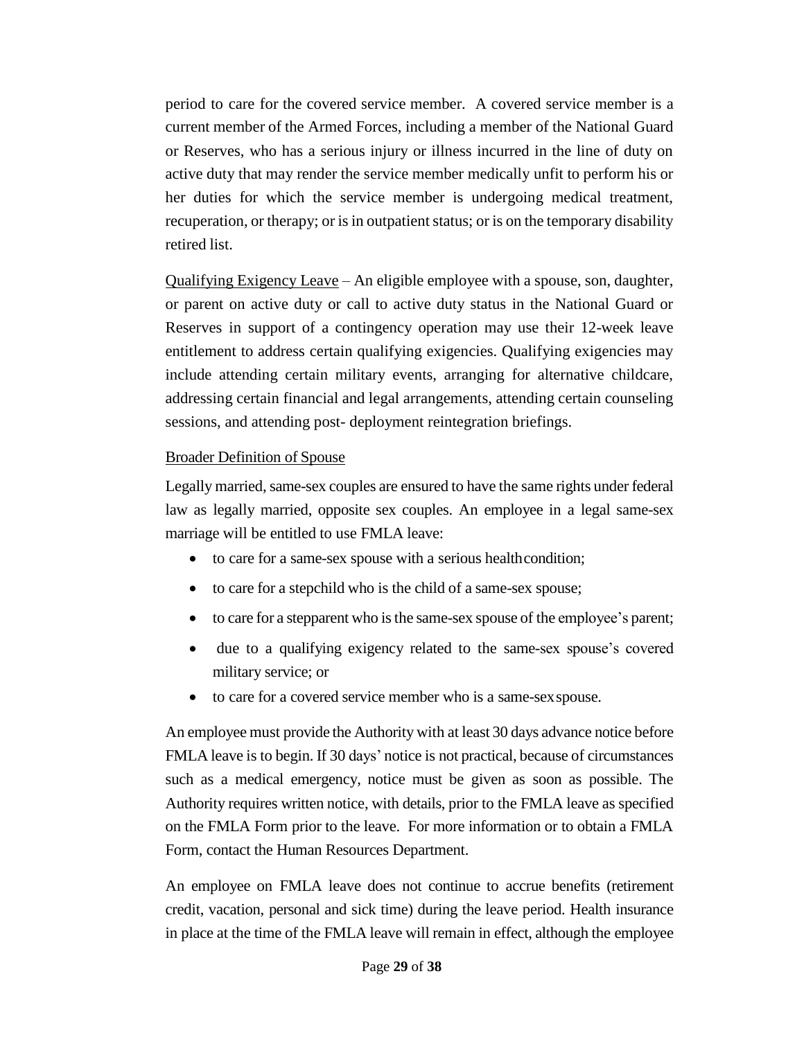period to care for the covered service member. A covered service member is a current member of the Armed Forces, including a member of the National Guard or Reserves, who has a serious injury or illness incurred in the line of duty on active duty that may render the service member medically unfit to perform his or her duties for which the service member is undergoing medical treatment, recuperation, or therapy; or is in outpatient status; or is on the temporary disability retired list.

Qualifying Exigency Leave – An eligible employee with a spouse, son, daughter, or parent on active duty or call to active duty status in the National Guard or Reserves in support of a contingency operation may use their 12-week leave entitlement to address certain qualifying exigencies. Qualifying exigencies may include attending certain military events, arranging for alternative childcare, addressing certain financial and legal arrangements, attending certain counseling sessions, and attending post- deployment reintegration briefings.

#### Broader Definition of Spouse

Legally married, same-sex couples are ensured to have the same rights under federal law as legally married, opposite sex couples. An employee in a legal same-sex marriage will be entitled to use FMLA leave:

- to care for a same-sex spouse with a serious healthcondition;
- to care for a stepchild who is the child of a same-sex spouse;
- to care for a stepparent who is the same-sex spouse of the employee's parent;
- due to a qualifying exigency related to the same-sex spouse's covered military service; or
- to care for a covered service member who is a same-sexspouse.

An employee must provide the Authority with at least 30 days advance notice before FMLA leave is to begin. If 30 days' notice is not practical, because of circumstances such as a medical emergency, notice must be given as soon as possible. The Authority requires written notice, with details, prior to the FMLA leave as specified on the FMLA Form prior to the leave. For more information or to obtain a FMLA Form, contact the Human Resources Department.

An employee on FMLA leave does not continue to accrue benefits (retirement credit, vacation, personal and sick time) during the leave period. Health insurance in place at the time of the FMLA leave will remain in effect, although the employee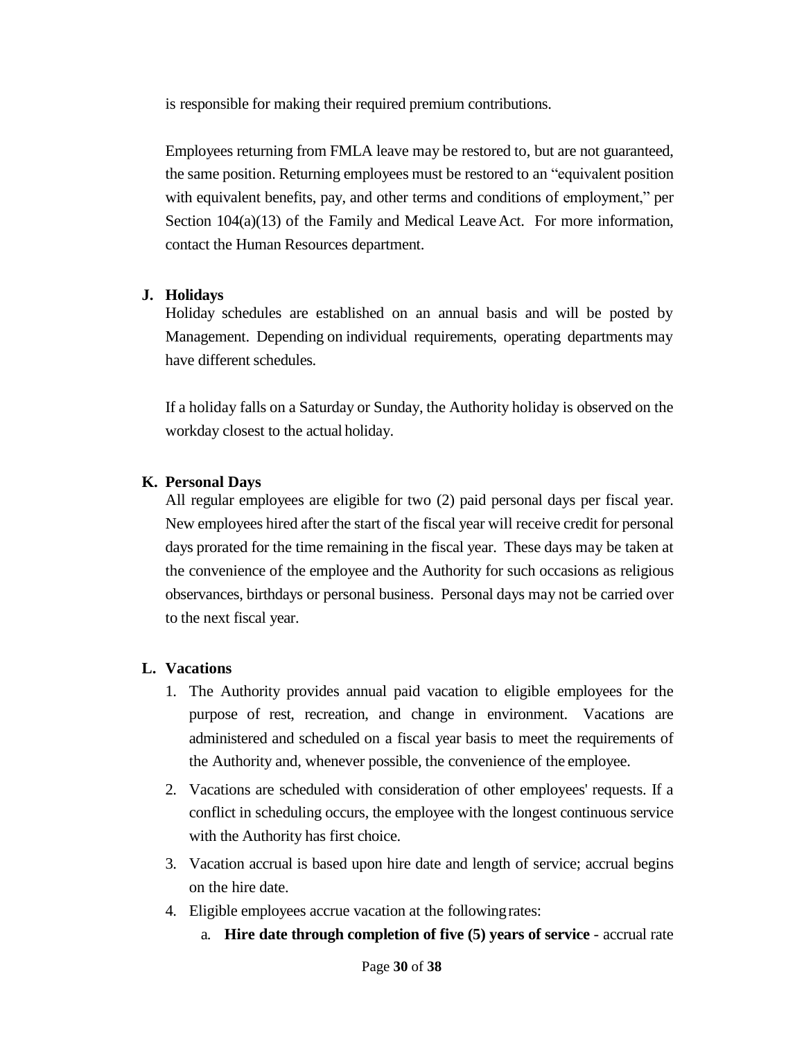is responsible for making their required premium contributions.

Employees returning from FMLA leave may be restored to, but are not guaranteed, the same position. Returning employees must be restored to an "equivalent position with equivalent benefits, pay, and other terms and conditions of employment," per Section  $104(a)(13)$  of the Family and Medical Leave Act. For more information, contact the Human Resources department.

#### <span id="page-29-0"></span>**J. Holidays**

Holiday schedules are established on an annual basis and will be posted by Management. Depending on individual requirements, operating departments may have different schedules.

If a holiday falls on a Saturday or Sunday, the Authority holiday is observed on the workday closest to the actual holiday.

#### <span id="page-29-1"></span>**K. Personal Days**

All regular employees are eligible for two (2) paid personal days per fiscal year. New employees hired after the start of the fiscal year will receive credit for personal days prorated for the time remaining in the fiscal year. These days may be taken at the convenience of the employee and the Authority for such occasions as religious observances, birthdays or personal business. Personal days may not be carried over to the next fiscal year.

#### <span id="page-29-2"></span>**L. Vacations**

- 1. The Authority provides annual paid vacation to eligible employees for the purpose of rest, recreation, and change in environment. Vacations are administered and scheduled on a fiscal year basis to meet the requirements of the Authority and, whenever possible, the convenience of the employee.
- 2. Vacations are scheduled with consideration of other employees' requests. If a conflict in scheduling occurs, the employee with the longest continuous service with the Authority has first choice.
- 3. Vacation accrual is based upon hire date and length of service; accrual begins on the hire date.
- 4. Eligible employees accrue vacation at the followingrates:
	- a. **Hire date through completion of five (5) years of service**  accrual rate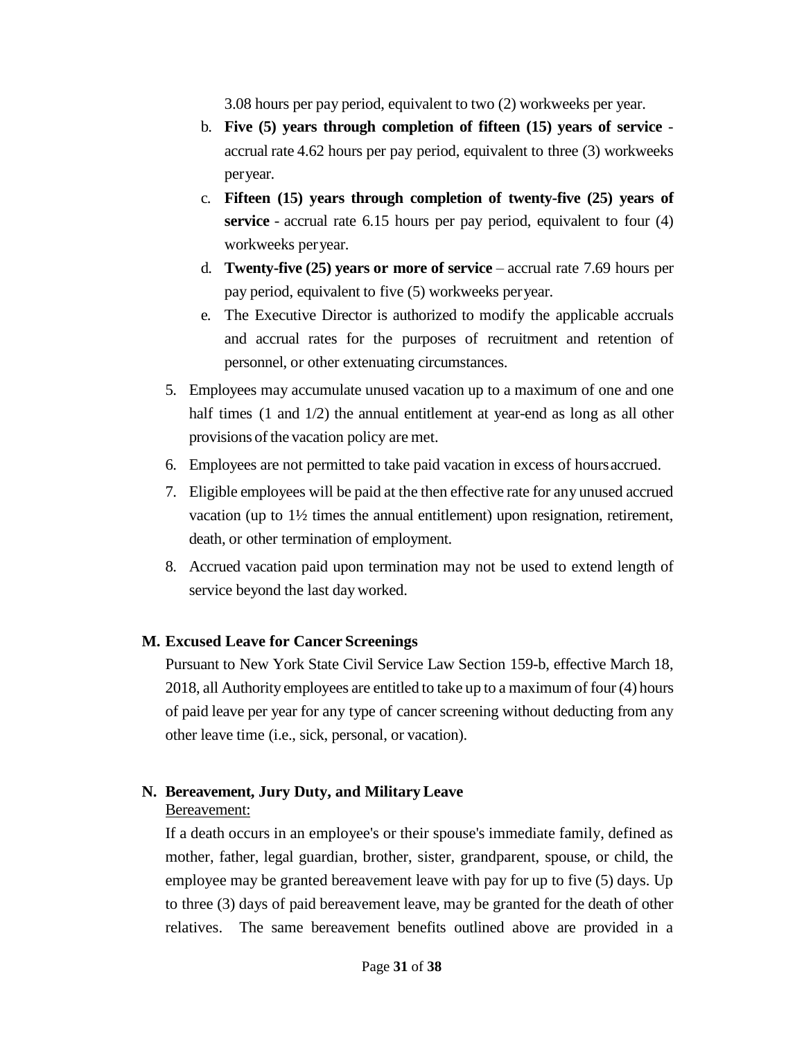3.08 hours per pay period, equivalent to two (2) workweeks per year.

- b. **Five (5) years through completion of fifteen (15) years of service** accrual rate 4.62 hours per pay period, equivalent to three (3) workweeks peryear.
- c. **Fifteen (15) years through completion of twenty-five (25) years of service** - accrual rate 6.15 hours per pay period, equivalent to four (4) workweeks peryear.
- d. **Twenty-five (25) years or more of service** accrual rate 7.69 hours per pay period, equivalent to five (5) workweeks peryear.
- e. The Executive Director is authorized to modify the applicable accruals and accrual rates for the purposes of recruitment and retention of personnel, or other extenuating circumstances.
- 5. Employees may accumulate unused vacation up to a maximum of one and one half times (1 and 1/2) the annual entitlement at year-end as long as all other provisions of the vacation policy are met.
- 6. Employees are not permitted to take paid vacation in excess of hoursaccrued.
- 7. Eligible employees will be paid at the then effective rate for any unused accrued vacation (up to 1½ times the annual entitlement) upon resignation, retirement, death, or other termination of employment.
- 8. Accrued vacation paid upon termination may not be used to extend length of service beyond the last dayworked.

## <span id="page-30-0"></span>**M. Excused Leave for Cancer Screenings**

Pursuant to New York State Civil Service Law Section 159-b, effective March 18, 2018, all Authority employees are entitled to take up to a maximum of four (4) hours of paid leave per year for any type of cancer screening without deducting from any other leave time (i.e., sick, personal, or vacation).

## <span id="page-30-1"></span>**N. Bereavement, Jury Duty, and MilitaryLeave**

#### Bereavement:

If a death occurs in an employee's or their spouse's immediate family, defined as mother, father, legal guardian, brother, sister, grandparent, spouse, or child, the employee may be granted bereavement leave with pay for up to five (5) days. Up to three (3) days of paid bereavement leave, may be granted for the death of other relatives. The same bereavement benefits outlined above are provided in a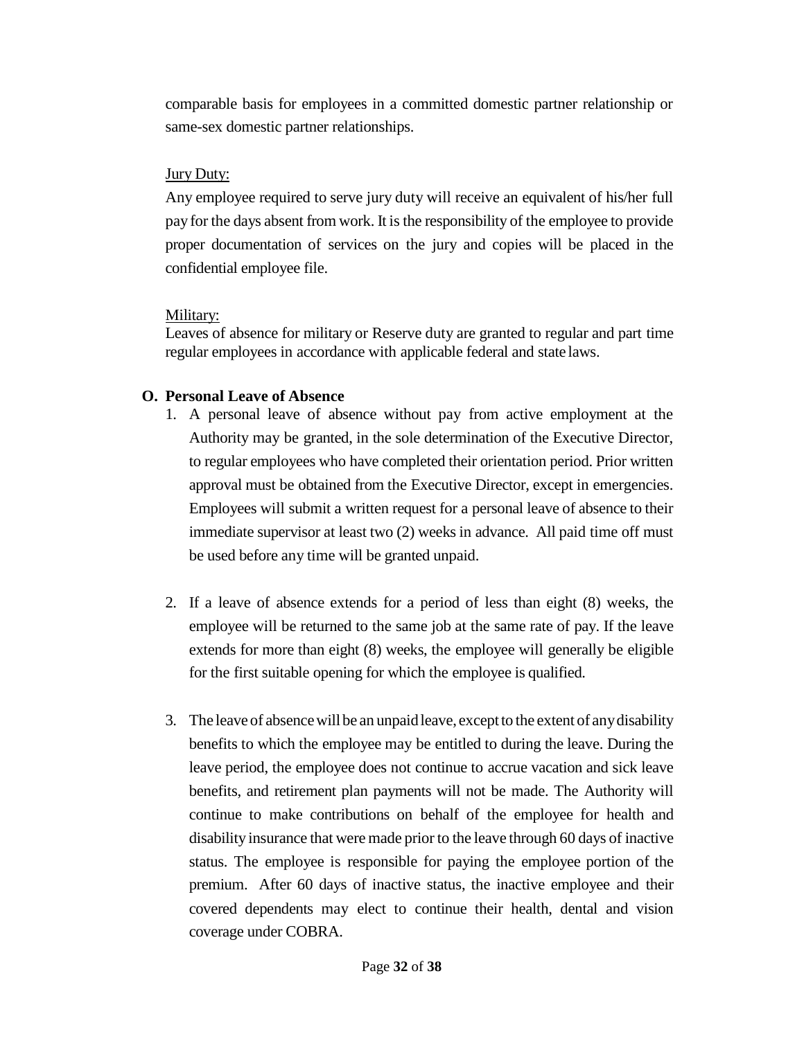comparable basis for employees in a committed domestic partner relationship or same-sex domestic partner relationships.

#### Jury Duty:

Any employee required to serve jury duty will receive an equivalent of his/her full payfor the days absent from work. It is the responsibility of the employee to provide proper documentation of services on the jury and copies will be placed in the confidential employee file.

## Military:

Leaves of absence for military or Reserve duty are granted to regular and part time regular employees in accordance with applicable federal and state laws.

## <span id="page-31-0"></span>**O. Personal Leave of Absence**

- 1. A personal leave of absence without pay from active employment at the Authority may be granted, in the sole determination of the Executive Director, to regular employees who have completed their orientation period. Prior written approval must be obtained from the Executive Director, except in emergencies. Employees will submit a written request for a personal leave of absence to their immediate supervisor at least two (2) weeks in advance. All paid time off must be used before any time will be granted unpaid.
- 2. If a leave of absence extends for a period of less than eight (8) weeks, the employee will be returned to the same job at the same rate of pay. If the leave extends for more than eight (8) weeks, the employee will generally be eligible for the first suitable opening for which the employee is qualified.
- 3. The leave of absencewill be an unpaidleave, exceptto the extent of anydisability benefits to which the employee may be entitled to during the leave. During the leave period, the employee does not continue to accrue vacation and sick leave benefits, and retirement plan payments will not be made. The Authority will continue to make contributions on behalf of the employee for health and disability insurance that were made prior to the leave through 60 days of inactive status. The employee is responsible for paying the employee portion of the premium. After 60 days of inactive status, the inactive employee and their covered dependents may elect to continue their health, dental and vision coverage under COBRA.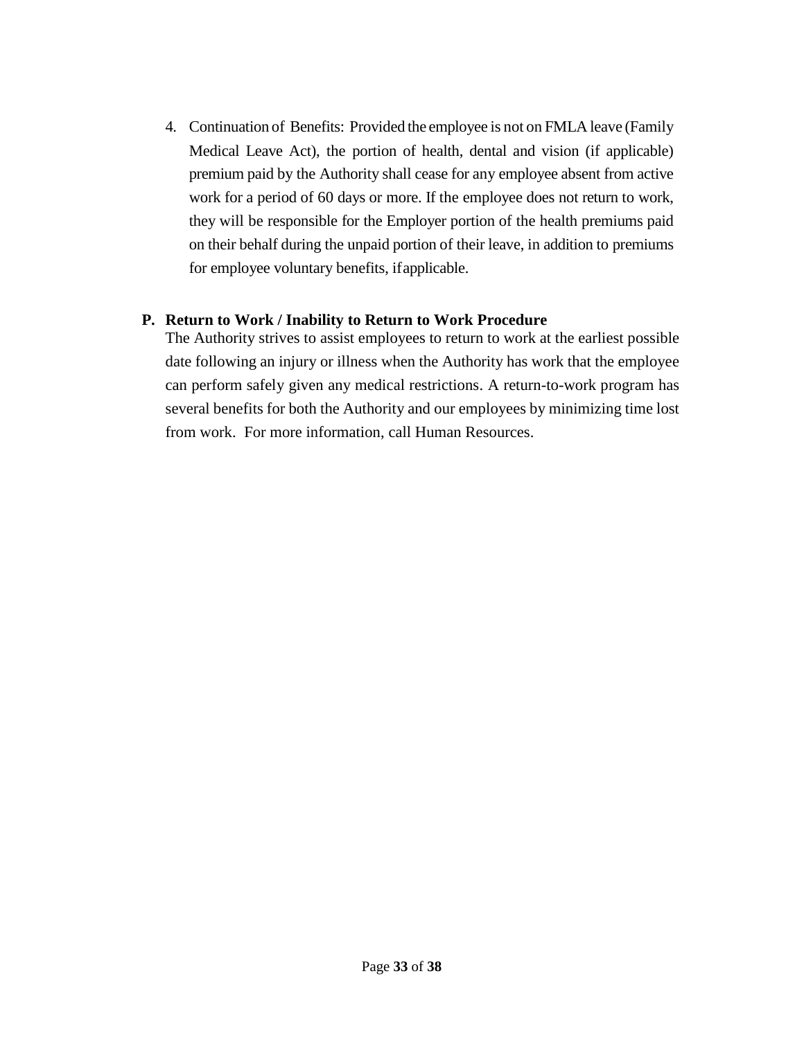4. Continuation of Benefits: Provided the employee is not on FMLA leave (Family Medical Leave Act), the portion of health, dental and vision (if applicable) premium paid by the Authority shall cease for any employee absent from active work for a period of 60 days or more. If the employee does not return to work, they will be responsible for the Employer portion of the health premiums paid on their behalf during the unpaid portion of their leave, in addition to premiums for employee voluntary benefits, ifapplicable.

#### <span id="page-32-0"></span>**P. Return to Work / Inability to Return to Work Procedure**

The Authority strives to assist employees to return to work at the earliest possible date following an injury or illness when the Authority has work that the employee can perform safely given any medical restrictions. A return-to-work program has several benefits for both the Authority and our employees by minimizing time lost from work. For more information, call Human Resources.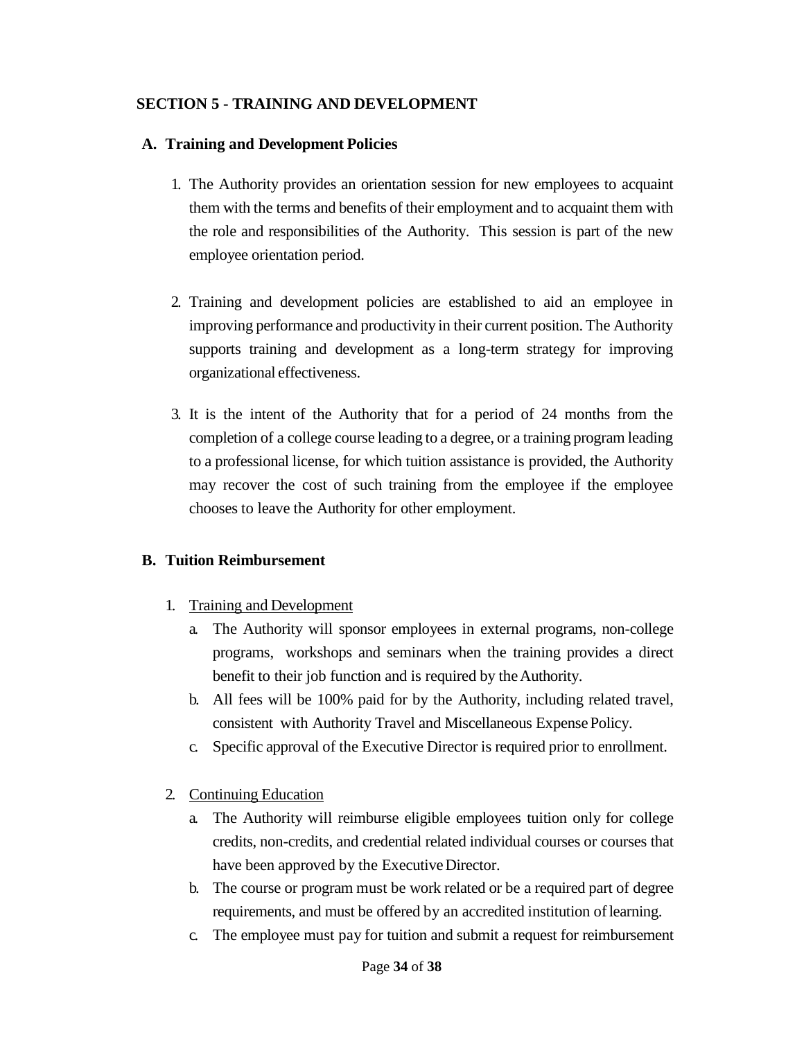#### <span id="page-33-0"></span>**SECTION 5 - TRAINING AND DEVELOPMENT**

#### <span id="page-33-1"></span>**A. Training and Development Policies**

- 1. The Authority provides an orientation session for new employees to acquaint them with the terms and benefits of their employment and to acquaint them with the role and responsibilities of the Authority. This session is part of the new employee orientation period.
- 2. Training and development policies are established to aid an employee in improving performance and productivity in their current position. The Authority supports training and development as a long-term strategy for improving organizational effectiveness.
- 3. It is the intent of the Authority that for a period of 24 months from the completion of a college course leading to a degree, or a training program leading to a professional license, for which tuition assistance is provided, the Authority may recover the cost of such training from the employee if the employee chooses to leave the Authority for other employment.

## <span id="page-33-2"></span>**B. Tuition Reimbursement**

- 1. Training and Development
	- a. The Authority will sponsor employees in external programs, non-college programs, workshops and seminars when the training provides a direct benefit to their job function and is required by the Authority.
	- b. All fees will be 100% paid for by the Authority, including related travel, consistent with Authority Travel and Miscellaneous ExpensePolicy.
	- c. Specific approval of the Executive Director is required prior to enrollment.
- 2. Continuing Education
	- a. The Authority will reimburse eligible employees tuition only for college credits, non-credits, and credential related individual courses or courses that have been approved by the Executive Director.
	- b. The course or program must be work related or be a required part of degree requirements, and must be offered by an accredited institution of learning.
	- c. The employee must pay for tuition and submit a request for reimbursement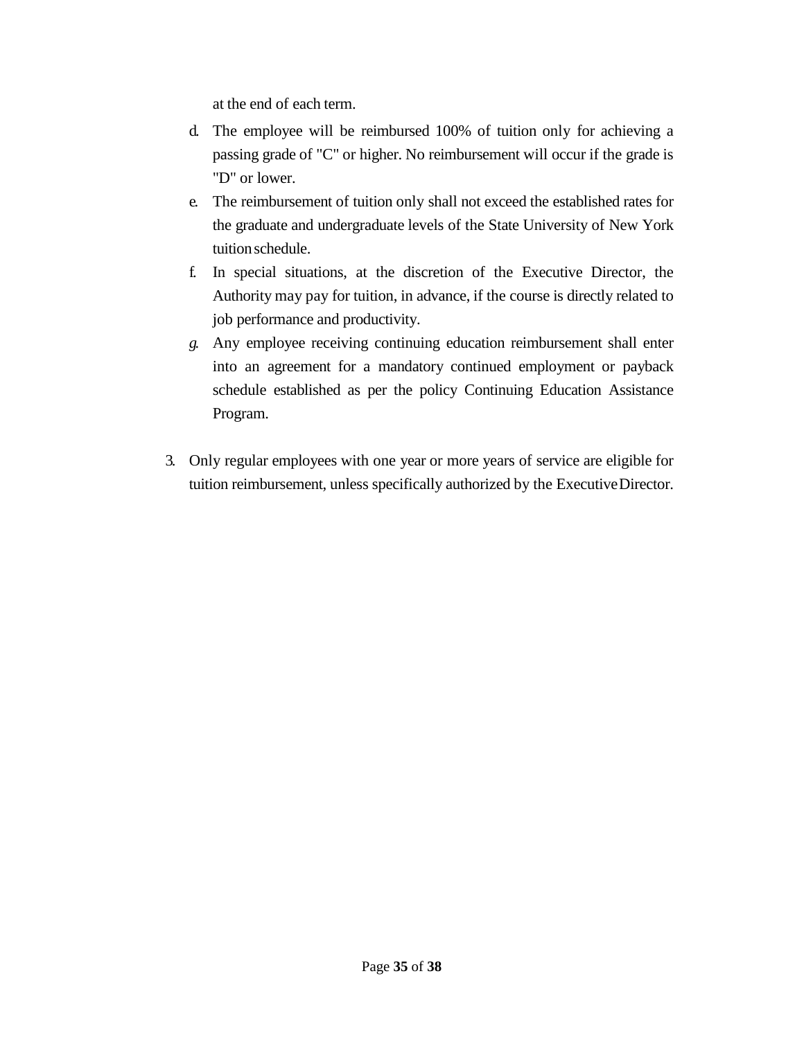at the end of each term.

- d. The employee will be reimbursed 100% of tuition only for achieving a passing grade of "C" or higher. No reimbursement will occur if the grade is "D" or lower.
- e. The reimbursement of tuition only shall not exceed the established rates for the graduate and undergraduate levels of the State University of New York tuition schedule.
- f. In special situations, at the discretion of the Executive Director, the Authority may pay for tuition, in advance, if the course is directly related to job performance and productivity.
- *g.* Any employee receiving continuing education reimbursement shall enter into an agreement for a mandatory continued employment or payback schedule established as per the policy Continuing Education Assistance Program.
- 3. Only regular employees with one year or more years of service are eligible for tuition reimbursement, unless specifically authorized by the ExecutiveDirector.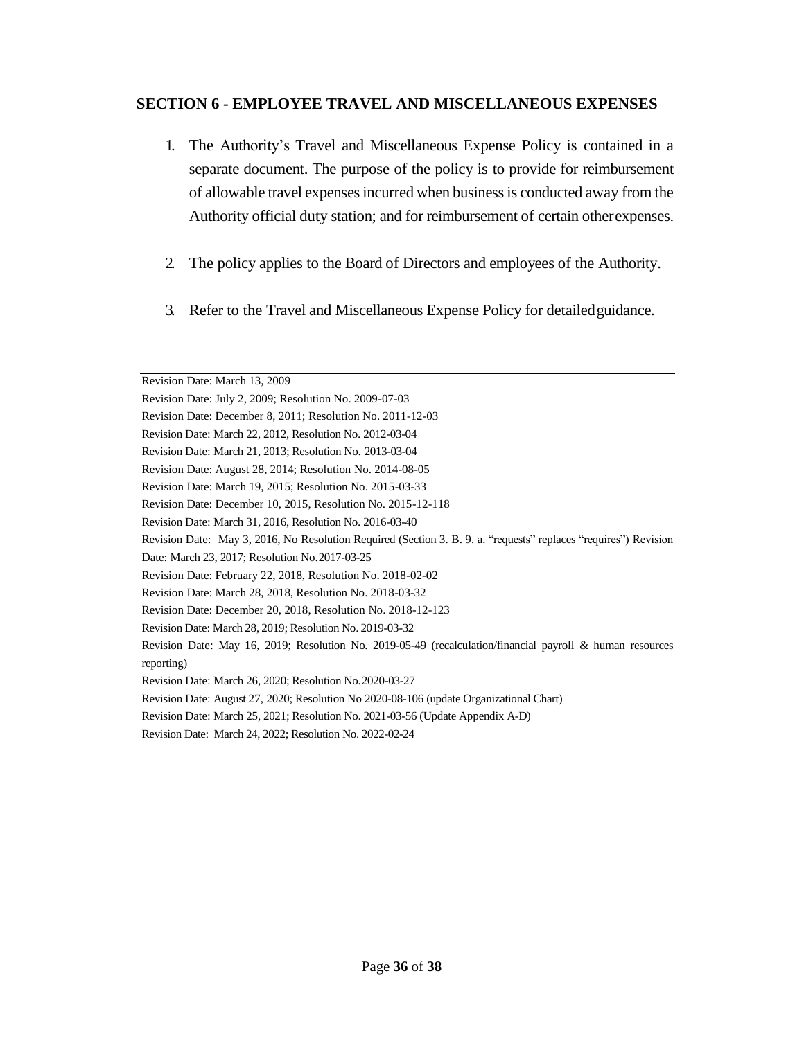#### <span id="page-35-0"></span>**SECTION 6 - EMPLOYEE TRAVEL AND MISCELLANEOUS EXPENSES**

- 1. The Authority's Travel and Miscellaneous Expense Policy is contained in a separate document. The purpose of the policy is to provide for reimbursement of allowable travel expenses incurred when business is conducted away from the Authority official duty station; and for reimbursement of certain otherexpenses.
- 2. The policy applies to the Board of Directors and employees of the Authority.
- 3. Refer to the Travel and Miscellaneous Expense Policy for detailedguidance.

Revision Date: May 3, 2016, No Resolution Required (Section 3. B. 9. a. "requests" replaces "requires") Revision

Revision Date: March 13, 2009

Revision Date: July 2, 2009; Resolution No. 2009-07-03

Revision Date: December 8, 2011; Resolution No. 2011-12-03

Revision Date: March 22, 2012, Resolution No. 2012-03-04

Revision Date: March 21, 2013; Resolution No. 2013-03-04

Revision Date: August 28, 2014; Resolution No. 2014-08-05

Revision Date: March 19, 2015; Resolution No. 2015-03-33

Revision Date: December 10, 2015, Resolution No. 2015-12-118

Revision Date: March 31, 2016, Resolution No. 2016-03-40

Date: March 23, 2017; Resolution No.2017-03-25

Revision Date: February 22, 2018, Resolution No. 2018-02-02

Revision Date: March 28, 2018, Resolution No. 2018-03-32

Revision Date: December 20, 2018, Resolution No. 2018-12-123

Revision Date: March 28, 2019; Resolution No. 2019-03-32

Revision Date: May 16, 2019; Resolution No. 2019-05-49 (recalculation/financial payroll & human resources reporting)

Revision Date: March 26, 2020; Resolution No.2020-03-27

Revision Date: August 27, 2020; Resolution No 2020-08-106 (update Organizational Chart)

Revision Date: March 25, 2021; Resolution No. 2021-03-56 (Update Appendix A-D)

Revision Date: March 24, 2022; Resolution No. 2022-02-24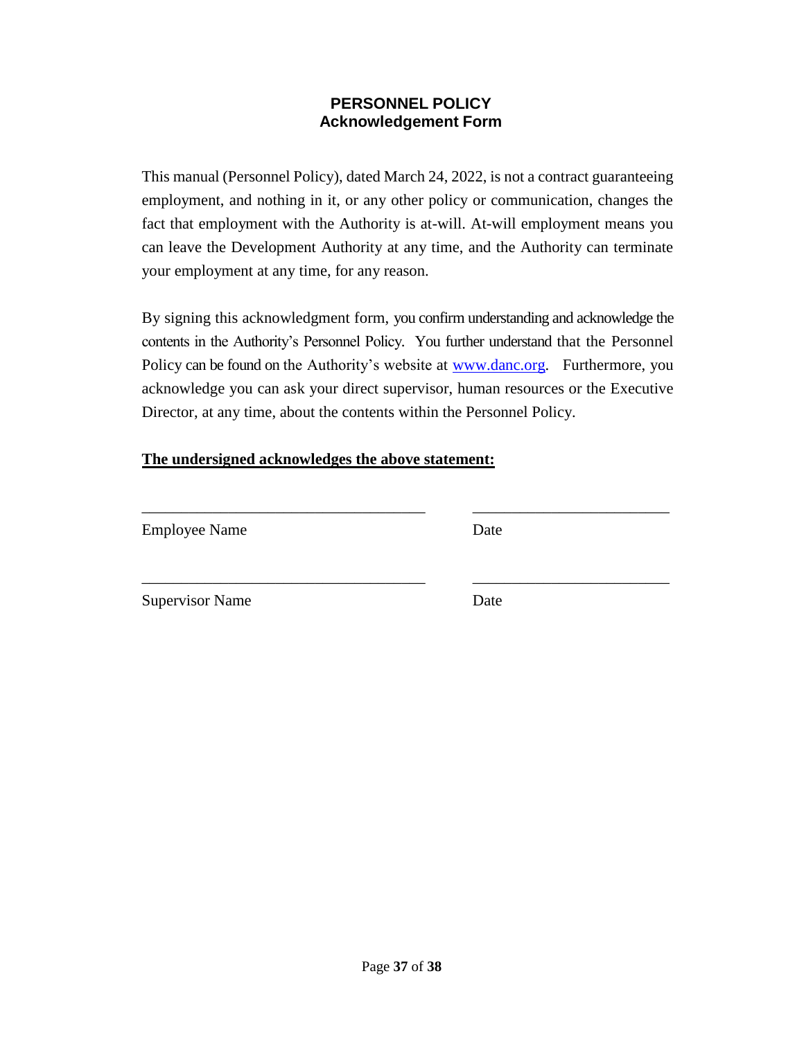#### **PERSONNEL POLICY Acknowledgement Form**

<span id="page-36-1"></span><span id="page-36-0"></span>This manual (Personnel Policy), dated March 24, 2022, is not a contract guaranteeing employment, and nothing in it, or any other policy or communication, changes the fact that employment with the Authority is at-will. At-will employment means you can leave the Development Authority at any time, and the Authority can terminate your employment at any time, for any reason.

By signing this acknowledgment form, you confirm understanding and acknowledge the contents in the Authority's Personnel Policy. You further understand that the Personnel Policy can be found on the Authority's website at [www.danc.org.](http://www.danc.org/) Furthermore, you acknowledge you can ask your direct supervisor, human resources or the Executive Director, at any time, about the contents within the Personnel Policy.

\_\_\_\_\_\_\_\_\_\_\_\_\_\_\_\_\_\_\_\_\_\_\_\_\_\_\_\_\_\_\_\_\_\_\_\_ \_\_\_\_\_\_\_\_\_\_\_\_\_\_\_\_\_\_\_\_\_\_\_\_\_

#### **The undersigned acknowledges the above statement:**

Employee Name Date

Supervisor Name Date

\_\_\_\_\_\_\_\_\_\_\_\_\_\_\_\_\_\_\_\_\_\_\_\_\_\_\_\_\_\_\_\_\_\_\_\_ \_\_\_\_\_\_\_\_\_\_\_\_\_\_\_\_\_\_\_\_\_\_\_\_\_